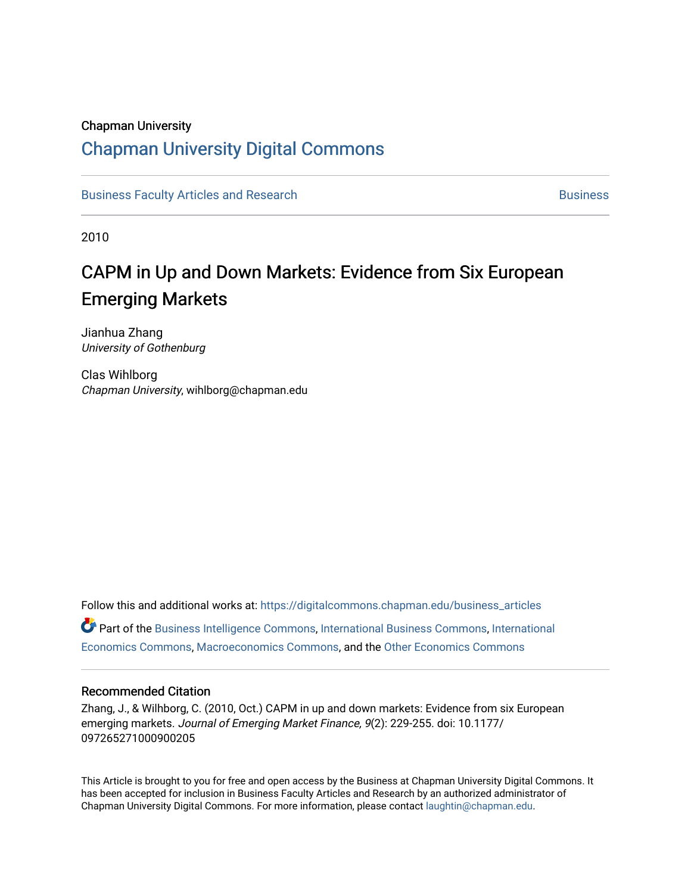#### Chapman University

# [Chapman University Digital Commons](https://digitalcommons.chapman.edu/)

[Business Faculty Articles and Research](https://digitalcommons.chapman.edu/business_articles) [Business](https://digitalcommons.chapman.edu/business) **Business** Business

2010

# CAPM in Up and Down Markets: Evidence from Six European Emerging Markets

Jianhua Zhang University of Gothenburg

Clas Wihlborg Chapman University, wihlborg@chapman.edu

Follow this and additional works at: [https://digitalcommons.chapman.edu/business\\_articles](https://digitalcommons.chapman.edu/business_articles?utm_source=digitalcommons.chapman.edu%2Fbusiness_articles%2F43&utm_medium=PDF&utm_campaign=PDFCoverPages)  Part of the [Business Intelligence Commons,](http://network.bepress.com/hgg/discipline/1326?utm_source=digitalcommons.chapman.edu%2Fbusiness_articles%2F43&utm_medium=PDF&utm_campaign=PDFCoverPages) [International Business Commons,](http://network.bepress.com/hgg/discipline/634?utm_source=digitalcommons.chapman.edu%2Fbusiness_articles%2F43&utm_medium=PDF&utm_campaign=PDFCoverPages) [International](http://network.bepress.com/hgg/discipline/348?utm_source=digitalcommons.chapman.edu%2Fbusiness_articles%2F43&utm_medium=PDF&utm_campaign=PDFCoverPages)  [Economics Commons,](http://network.bepress.com/hgg/discipline/348?utm_source=digitalcommons.chapman.edu%2Fbusiness_articles%2F43&utm_medium=PDF&utm_campaign=PDFCoverPages) [Macroeconomics Commons](http://network.bepress.com/hgg/discipline/350?utm_source=digitalcommons.chapman.edu%2Fbusiness_articles%2F43&utm_medium=PDF&utm_campaign=PDFCoverPages), and the [Other Economics Commons](http://network.bepress.com/hgg/discipline/353?utm_source=digitalcommons.chapman.edu%2Fbusiness_articles%2F43&utm_medium=PDF&utm_campaign=PDFCoverPages)

#### Recommended Citation

Zhang, J., & Wilhborg, C. (2010, Oct.) CAPM in up and down markets: Evidence from six European emerging markets. Journal of Emerging Market Finance, 9(2): 229-255. doi: 10.1177/ 097265271000900205

This Article is brought to you for free and open access by the Business at Chapman University Digital Commons. It has been accepted for inclusion in Business Faculty Articles and Research by an authorized administrator of Chapman University Digital Commons. For more information, please contact [laughtin@chapman.edu](mailto:laughtin@chapman.edu).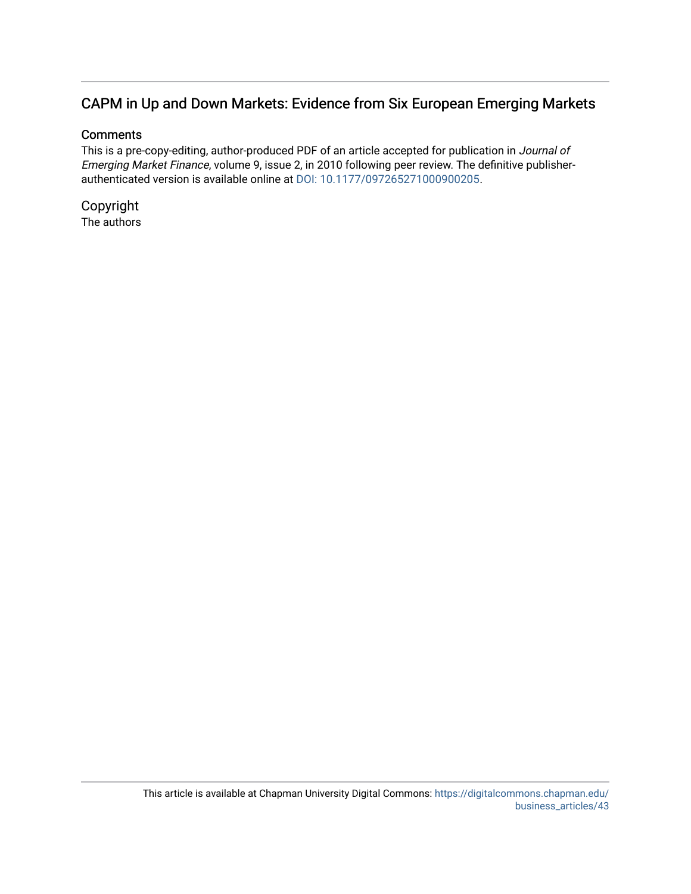# CAPM in Up and Down Markets: Evidence from Six European Emerging Markets

#### **Comments**

This is a pre-copy-editing, author-produced PDF of an article accepted for publication in Journal of Emerging Market Finance, volume 9, issue 2, in 2010 following peer review. The definitive publisherauthenticated version is available online at [DOI: 10.1177/097265271000900205](http://dx.doi.org/10.1177/097265271000900205).

Copyright The authors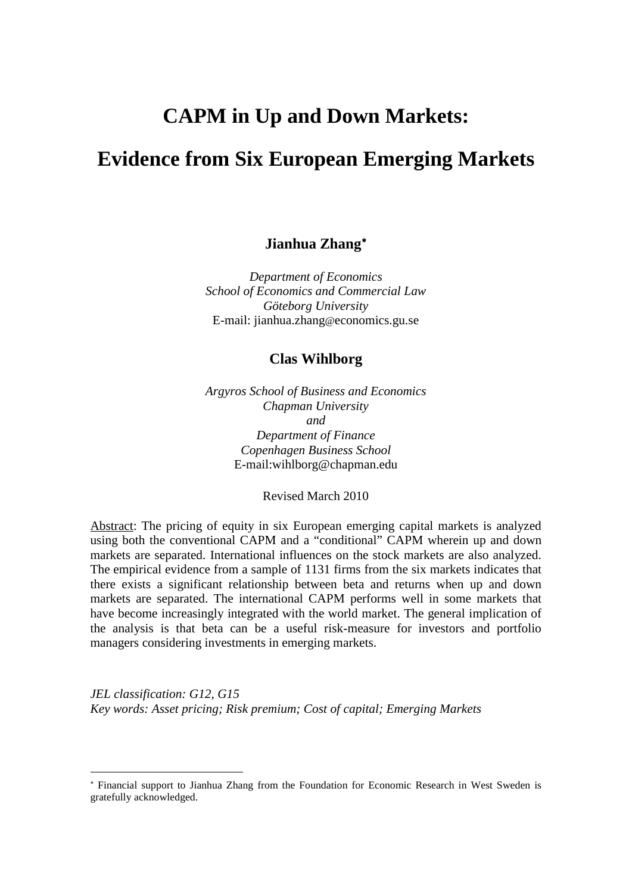# **CAPM in Up and Down Markets:**

# **Evidence from Six European Emerging Markets**

# **Jianhua Zhang**[∗](#page-2-0)

*Department of Economics School of Economics and Commercial Law Göteborg University* E-mail: jianhua.zhang@economics.gu.se

#### **Clas Wihlborg**

*Argyros School of Business and Economics Chapman University and Department of Finance Copenhagen Business School* E-mail:wihlborg@chapman.edu

Revised March 2010

Abstract: The pricing of equity in six European emerging capital markets is analyzed using both the conventional CAPM and a "conditional" CAPM wherein up and down markets are separated. International influences on the stock markets are also analyzed. The empirical evidence from a sample of 1131 firms from the six markets indicates that there exists a significant relationship between beta and returns when up and down markets are separated. The international CAPM performs well in some markets that have become increasingly integrated with the world market. The general implication of the analysis is that beta can be a useful risk-measure for investors and portfolio managers considering investments in emerging markets.

*JEL classification: G12, G15 Key words: Asset pricing; Risk premium; Cost of capital; Emerging Markets*

-

<span id="page-2-0"></span><sup>∗</sup> Financial support to Jianhua Zhang from the Foundation for Economic Research in West Sweden is gratefully acknowledged.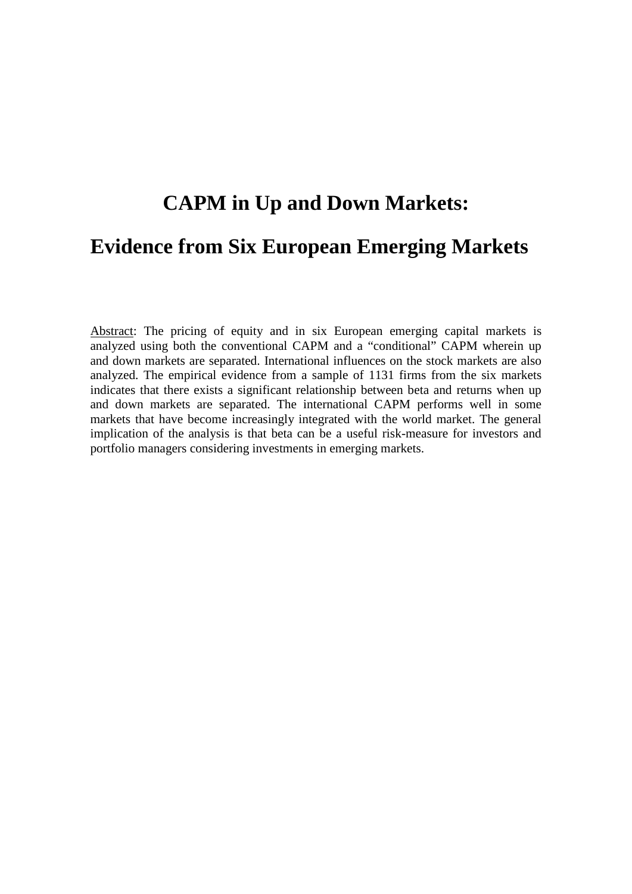# **CAPM in Up and Down Markets: Evidence from Six European Emerging Markets**

Abstract: The pricing of equity and in six European emerging capital markets is analyzed using both the conventional CAPM and a "conditional" CAPM wherein up and down markets are separated. International influences on the stock markets are also analyzed. The empirical evidence from a sample of 1131 firms from the six markets indicates that there exists a significant relationship between beta and returns when up and down markets are separated. The international CAPM performs well in some markets that have become increasingly integrated with the world market. The general implication of the analysis is that beta can be a useful risk-measure for investors and portfolio managers considering investments in emerging markets.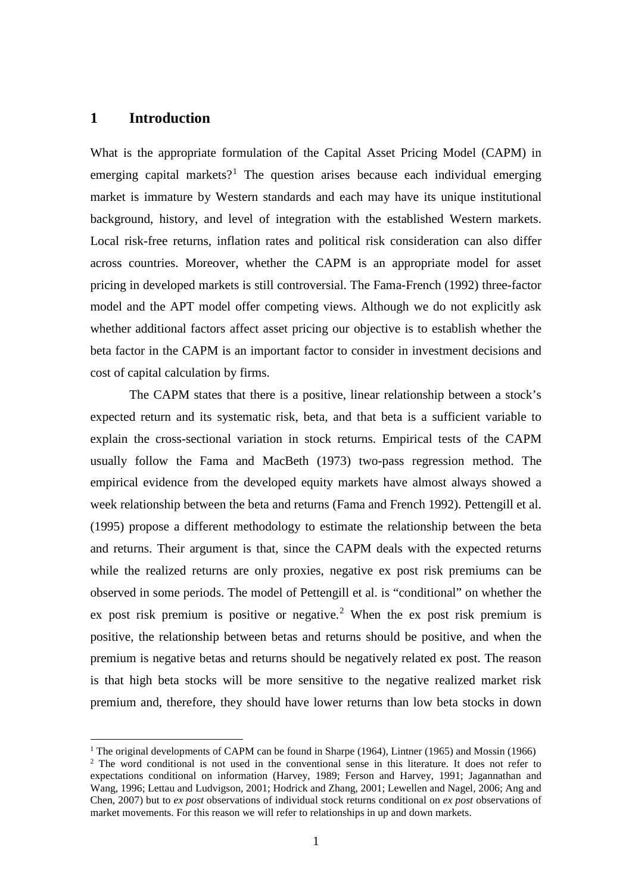#### **1 Introduction**

What is the appropriate formulation of the Capital Asset Pricing Model (CAPM) in emerging capital markets?<sup>[1](#page-4-0)</sup> The question arises because each individual emerging market is immature by Western standards and each may have its unique institutional background, history, and level of integration with the established Western markets. Local risk-free returns, inflation rates and political risk consideration can also differ across countries. Moreover, whether the CAPM is an appropriate model for asset pricing in developed markets is still controversial. The Fama-French (1992) three-factor model and the APT model offer competing views. Although we do not explicitly ask whether additional factors affect asset pricing our objective is to establish whether the beta factor in the CAPM is an important factor to consider in investment decisions and cost of capital calculation by firms.

The CAPM states that there is a positive, linear relationship between a stock's expected return and its systematic risk, beta, and that beta is a sufficient variable to explain the cross-sectional variation in stock returns. Empirical tests of the CAPM usually follow the Fama and MacBeth (1973) two-pass regression method. The empirical evidence from the developed equity markets have almost always showed a week relationship between the beta and returns (Fama and French 1992). Pettengill et al. (1995) propose a different methodology to estimate the relationship between the beta and returns. Their argument is that, since the CAPM deals with the expected returns while the realized returns are only proxies, negative ex post risk premiums can be observed in some periods. The model of Pettengill et al. is "conditional" on whether the ex post risk premium is positive or negative.<sup>[2](#page-4-1)</sup> When the ex post risk premium is positive, the relationship between betas and returns should be positive, and when the premium is negative betas and returns should be negatively related ex post. The reason is that high beta stocks will be more sensitive to the negative realized market risk premium and, therefore, they should have lower returns than low beta stocks in down

<span id="page-4-0"></span><sup>&</sup>lt;sup>1</sup> The original developments of CAPM can be found in Sharpe (1964), Lintner (1965) and Mossin (1966)

<span id="page-4-1"></span><sup>&</sup>lt;sup>2</sup> The word conditional is not used in the conventional sense in this literature. It does not refer to expectations conditional on information (Harvey, 1989; Ferson and Harvey, 1991; Jagannathan and Wang, 1996; Lettau and Ludvigson, 2001; Hodrick and Zhang, 2001; Lewellen and Nagel, 2006; Ang and Chen, 2007) but to *ex post* observations of individual stock returns conditional on *ex post* observations of market movements. For this reason we will refer to relationships in up and down markets.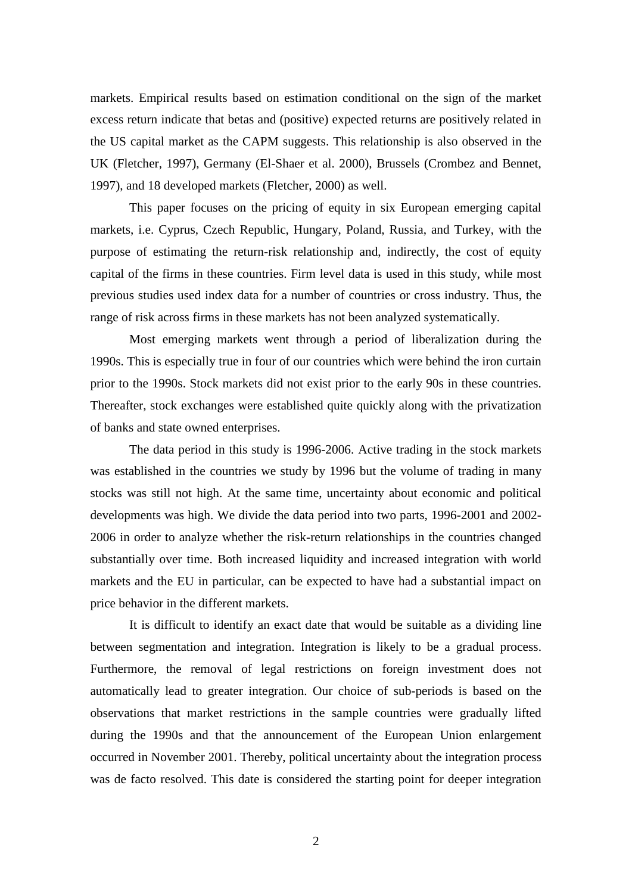markets. Empirical results based on estimation conditional on the sign of the market excess return indicate that betas and (positive) expected returns are positively related in the US capital market as the CAPM suggests. This relationship is also observed in the UK (Fletcher, 1997), Germany (El-Shaer et al. 2000), Brussels (Crombez and Bennet, 1997), and 18 developed markets (Fletcher, 2000) as well.

This paper focuses on the pricing of equity in six European emerging capital markets, i.e. Cyprus, Czech Republic, Hungary, Poland, Russia, and Turkey, with the purpose of estimating the return-risk relationship and, indirectly, the cost of equity capital of the firms in these countries. Firm level data is used in this study, while most previous studies used index data for a number of countries or cross industry. Thus, the range of risk across firms in these markets has not been analyzed systematically.

Most emerging markets went through a period of liberalization during the 1990s. This is especially true in four of our countries which were behind the iron curtain prior to the 1990s. Stock markets did not exist prior to the early 90s in these countries. Thereafter, stock exchanges were established quite quickly along with the privatization of banks and state owned enterprises.

The data period in this study is 1996-2006. Active trading in the stock markets was established in the countries we study by 1996 but the volume of trading in many stocks was still not high. At the same time, uncertainty about economic and political developments was high. We divide the data period into two parts, 1996-2001 and 2002- 2006 in order to analyze whether the risk-return relationships in the countries changed substantially over time. Both increased liquidity and increased integration with world markets and the EU in particular, can be expected to have had a substantial impact on price behavior in the different markets.

It is difficult to identify an exact date that would be suitable as a dividing line between segmentation and integration. Integration is likely to be a gradual process. Furthermore, the removal of legal restrictions on foreign investment does not automatically lead to greater integration. Our choice of sub-periods is based on the observations that market restrictions in the sample countries were gradually lifted during the 1990s and that the announcement of the European Union enlargement occurred in November 2001. Thereby, political uncertainty about the integration process was de facto resolved. This date is considered the starting point for deeper integration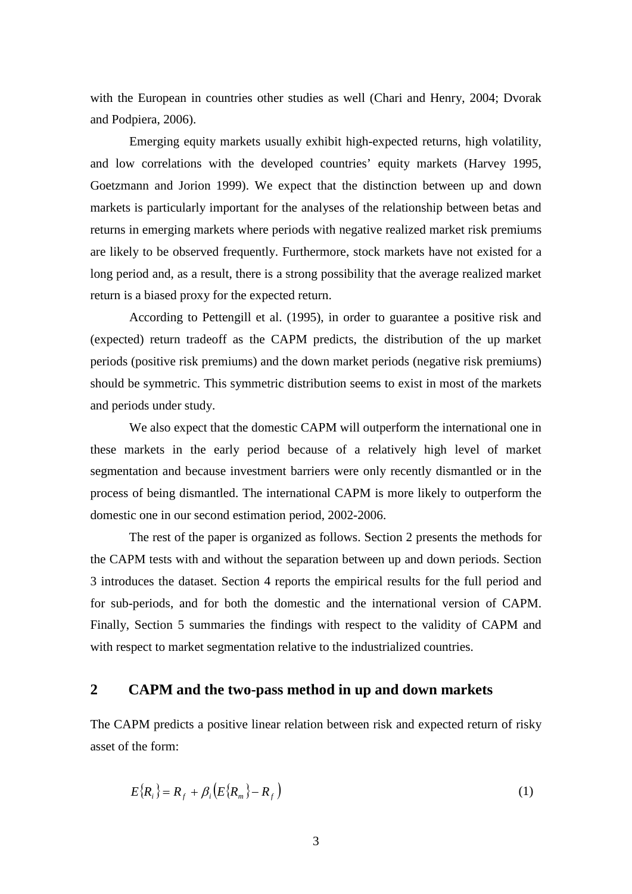with the European in countries other studies as well (Chari and Henry, 2004; Dvorak and Podpiera, 2006).

Emerging equity markets usually exhibit high-expected returns, high volatility, and low correlations with the developed countries' equity markets (Harvey 1995, Goetzmann and Jorion 1999). We expect that the distinction between up and down markets is particularly important for the analyses of the relationship between betas and returns in emerging markets where periods with negative realized market risk premiums are likely to be observed frequently. Furthermore, stock markets have not existed for a long period and, as a result, there is a strong possibility that the average realized market return is a biased proxy for the expected return.

According to Pettengill et al. (1995), in order to guarantee a positive risk and (expected) return tradeoff as the CAPM predicts, the distribution of the up market periods (positive risk premiums) and the down market periods (negative risk premiums) should be symmetric. This symmetric distribution seems to exist in most of the markets and periods under study.

We also expect that the domestic CAPM will outperform the international one in these markets in the early period because of a relatively high level of market segmentation and because investment barriers were only recently dismantled or in the process of being dismantled. The international CAPM is more likely to outperform the domestic one in our second estimation period, 2002-2006.

The rest of the paper is organized as follows. Section 2 presents the methods for the CAPM tests with and without the separation between up and down periods. Section 3 introduces the dataset. Section 4 reports the empirical results for the full period and for sub-periods, and for both the domestic and the international version of CAPM. Finally, Section 5 summaries the findings with respect to the validity of CAPM and with respect to market segmentation relative to the industrialized countries.

#### **2 CAPM and the two-pass method in up and down markets**

The CAPM predicts a positive linear relation between risk and expected return of risky asset of the form:

$$
E\{R_i\} = R_f + \beta_i \left( E\{R_m\} - R_f \right) \tag{1}
$$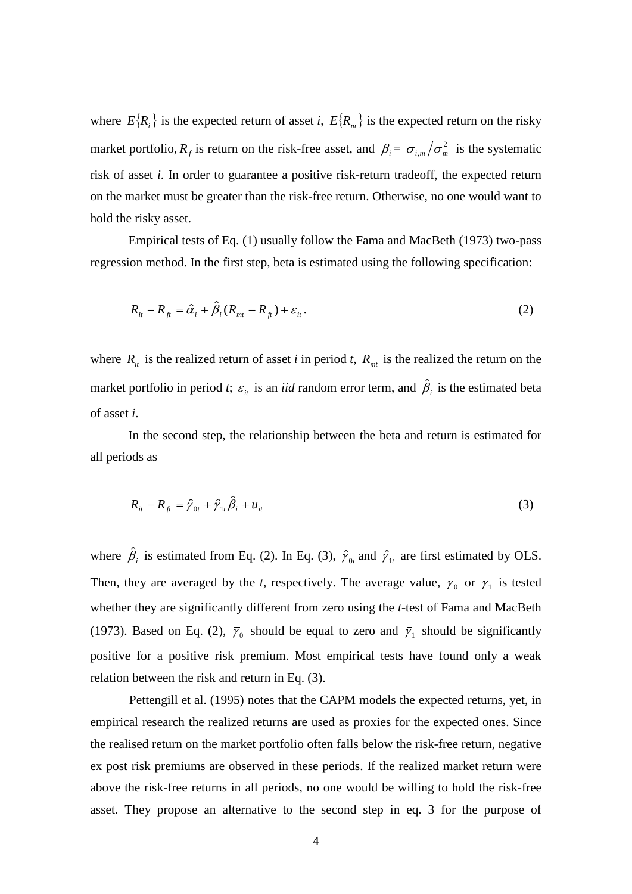where  $E\{R_i\}$  is the expected return of asset *i*,  $E\{R_m\}$  is the expected return on the risky market portfolio,  $R_f$  is return on the risk-free asset, and  $\beta_i = \sigma_{i,m}/\sigma_m^2$  is the systematic risk of asset *i*. In order to guarantee a positive risk-return tradeoff, the expected return on the market must be greater than the risk-free return. Otherwise, no one would want to hold the risky asset.

Empirical tests of Eq. (1) usually follow the Fama and MacBeth (1973) two-pass regression method. In the first step, beta is estimated using the following specification:

$$
R_{it} - R_{ft} = \hat{\alpha}_i + \hat{\beta}_i (R_{mt} - R_{ft}) + \varepsilon_{it}.
$$
\n<sup>(2)</sup>

where  $R_{it}$  is the realized return of asset *i* in period *t*,  $R_{mt}$  is the realized the return on the market portfolio in period *t*;  $\varepsilon_{it}$  is an *iid* random error term, and  $\hat{\beta}_{i}$  is the estimated beta of asset *i*.

In the second step, the relationship between the beta and return is estimated for all periods as

$$
R_{it} - R_{ft} = \hat{\gamma}_{0t} + \hat{\gamma}_{1t}\hat{\beta}_i + u_{it}
$$
 (3)

where  $\hat{\beta}_i$  is estimated from Eq. (2). In Eq. (3),  $\hat{\gamma}_{0t}$  and  $\hat{\gamma}_{1t}$  are first estimated by OLS. Then, they are averaged by the *t*, respectively. The average value,  $\bar{\gamma}_0$  or  $\bar{\gamma}_1$  is tested whether they are significantly different from zero using the *t*-test of Fama and MacBeth (1973). Based on Eq. (2),  $\bar{\gamma}_0$  should be equal to zero and  $\bar{\gamma}_1$  should be significantly positive for a positive risk premium. Most empirical tests have found only a weak relation between the risk and return in Eq. (3).

Pettengill et al. (1995) notes that the CAPM models the expected returns, yet, in empirical research the realized returns are used as proxies for the expected ones. Since the realised return on the market portfolio often falls below the risk-free return, negative ex post risk premiums are observed in these periods. If the realized market return were above the risk-free returns in all periods, no one would be willing to hold the risk-free asset. They propose an alternative to the second step in eq. 3 for the purpose of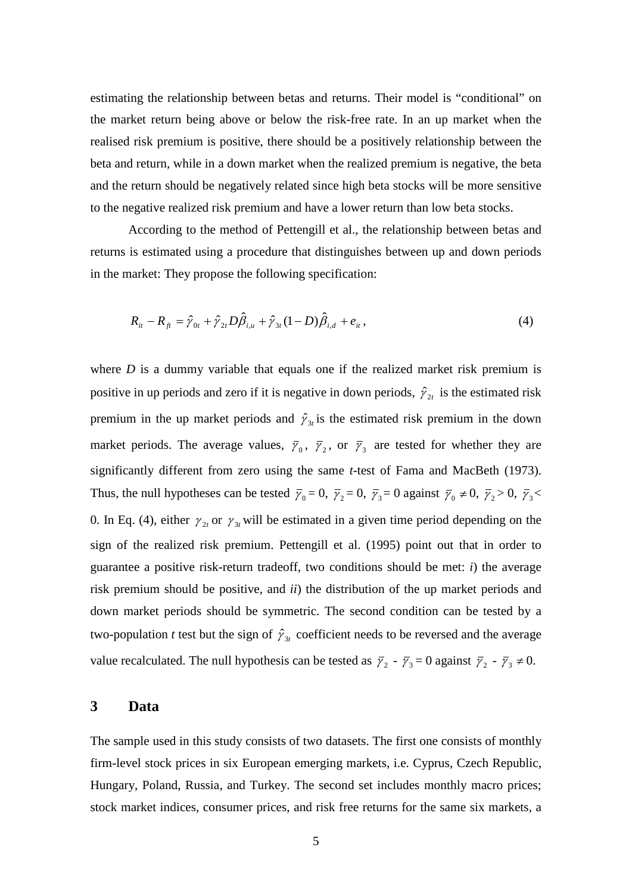estimating the relationship between betas and returns. Their model is "conditional" on the market return being above or below the risk-free rate. In an up market when the realised risk premium is positive, there should be a positively relationship between the beta and return, while in a down market when the realized premium is negative, the beta and the return should be negatively related since high beta stocks will be more sensitive to the negative realized risk premium and have a lower return than low beta stocks.

According to the method of Pettengill et al., the relationship between betas and returns is estimated using a procedure that distinguishes between up and down periods in the market: They propose the following specification:

$$
R_{it} - R_{ft} = \hat{y}_{0t} + \hat{y}_{2t} D\hat{\beta}_{i,u} + \hat{y}_{3t} (1 - D)\hat{\beta}_{i,d} + e_{it},
$$
\n(4)

where  $D$  is a dummy variable that equals one if the realized market risk premium is positive in up periods and zero if it is negative in down periods,  $\hat{\gamma}_{2t}$  is the estimated risk premium in the up market periods and  $\hat{\gamma}_{3t}$  is the estimated risk premium in the down market periods. The average values,  $\bar{\gamma}_0$ ,  $\bar{\gamma}_2$ , or  $\bar{\gamma}_3$  are tested for whether they are significantly different from zero using the same *t*-test of Fama and MacBeth (1973). Thus, the null hypotheses can be tested  $\bar{y}_0 = 0$ ,  $\bar{y}_2 = 0$ ,  $\bar{y}_3 = 0$  against  $\bar{y}_0 \neq 0$ ,  $\bar{y}_2 > 0$ ,  $\bar{y}_3 <$ 0. In Eq. (4), either  $\gamma_{2t}$  or  $\gamma_{3t}$  will be estimated in a given time period depending on the sign of the realized risk premium. Pettengill et al. (1995) point out that in order to guarantee a positive risk-return tradeoff, two conditions should be met: *i*) the average risk premium should be positive, and *ii*) the distribution of the up market periods and down market periods should be symmetric. The second condition can be tested by a two-population *t* test but the sign of  $\hat{\gamma}_{3t}$  coefficient needs to be reversed and the average value recalculated. The null hypothesis can be tested as  $\bar{y}_2 - \bar{y}_3 = 0$  against  $\bar{y}_2 - \bar{y}_3 \neq 0$ .

#### **3 Data**

The sample used in this study consists of two datasets. The first one consists of monthly firm-level stock prices in six European emerging markets, i.e. Cyprus, Czech Republic, Hungary, Poland, Russia, and Turkey. The second set includes monthly macro prices; stock market indices, consumer prices, and risk free returns for the same six markets, a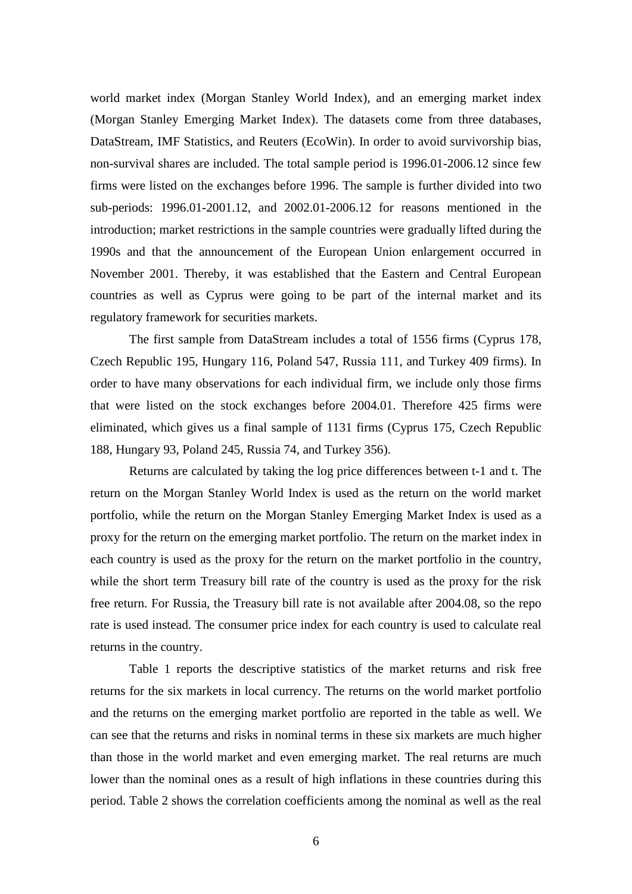world market index (Morgan Stanley World Index), and an emerging market index (Morgan Stanley Emerging Market Index). The datasets come from three databases, DataStream, IMF Statistics, and Reuters (EcoWin). In order to avoid survivorship bias, non-survival shares are included. The total sample period is 1996.01-2006.12 since few firms were listed on the exchanges before 1996. The sample is further divided into two sub-periods: 1996.01-2001.12, and 2002.01-2006.12 for reasons mentioned in the introduction; market restrictions in the sample countries were gradually lifted during the 1990s and that the announcement of the European Union enlargement occurred in November 2001. Thereby, it was established that the Eastern and Central European countries as well as Cyprus were going to be part of the internal market and its regulatory framework for securities markets.

The first sample from DataStream includes a total of 1556 firms (Cyprus 178, Czech Republic 195, Hungary 116, Poland 547, Russia 111, and Turkey 409 firms). In order to have many observations for each individual firm, we include only those firms that were listed on the stock exchanges before 2004.01. Therefore 425 firms were eliminated, which gives us a final sample of 1131 firms (Cyprus 175, Czech Republic 188, Hungary 93, Poland 245, Russia 74, and Turkey 356).

Returns are calculated by taking the log price differences between t-1 and t. The return on the Morgan Stanley World Index is used as the return on the world market portfolio, while the return on the Morgan Stanley Emerging Market Index is used as a proxy for the return on the emerging market portfolio. The return on the market index in each country is used as the proxy for the return on the market portfolio in the country, while the short term Treasury bill rate of the country is used as the proxy for the risk free return. For Russia, the Treasury bill rate is not available after 2004.08, so the repo rate is used instead. The consumer price index for each country is used to calculate real returns in the country.

Table 1 reports the descriptive statistics of the market returns and risk free returns for the six markets in local currency. The returns on the world market portfolio and the returns on the emerging market portfolio are reported in the table as well. We can see that the returns and risks in nominal terms in these six markets are much higher than those in the world market and even emerging market. The real returns are much lower than the nominal ones as a result of high inflations in these countries during this period. Table 2 shows the correlation coefficients among the nominal as well as the real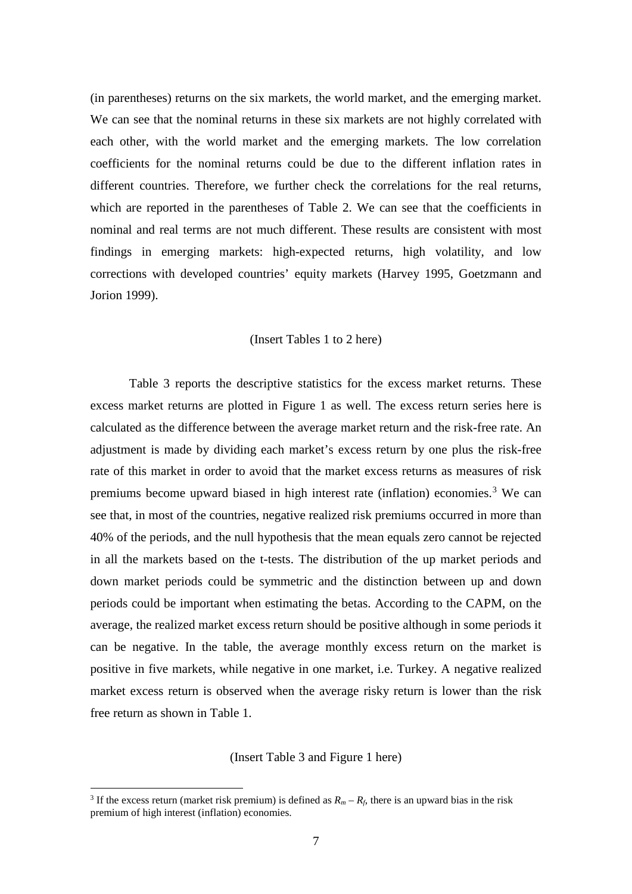(in parentheses) returns on the six markets, the world market, and the emerging market. We can see that the nominal returns in these six markets are not highly correlated with each other, with the world market and the emerging markets. The low correlation coefficients for the nominal returns could be due to the different inflation rates in different countries. Therefore, we further check the correlations for the real returns, which are reported in the parentheses of Table 2. We can see that the coefficients in nominal and real terms are not much different. These results are consistent with most findings in emerging markets: high-expected returns, high volatility, and low corrections with developed countries' equity markets (Harvey 1995, Goetzmann and Jorion 1999).

#### (Insert Tables 1 to 2 here)

Table 3 reports the descriptive statistics for the excess market returns. These excess market returns are plotted in Figure 1 as well. The excess return series here is calculated as the difference between the average market return and the risk-free rate. An adjustment is made by dividing each market's excess return by one plus the risk-free rate of this market in order to avoid that the market excess returns as measures of risk premiums become upward biased in high interest rate (inflation) economies.<sup>[3](#page-10-0)</sup> We can see that, in most of the countries, negative realized risk premiums occurred in more than 40% of the periods, and the null hypothesis that the mean equals zero cannot be rejected in all the markets based on the t-tests. The distribution of the up market periods and down market periods could be symmetric and the distinction between up and down periods could be important when estimating the betas. According to the CAPM, on the average, the realized market excess return should be positive although in some periods it can be negative. In the table, the average monthly excess return on the market is positive in five markets, while negative in one market, i.e. Turkey. A negative realized market excess return is observed when the average risky return is lower than the risk free return as shown in Table 1.

(Insert Table 3 and Figure 1 here)

<span id="page-10-0"></span><sup>&</sup>lt;sup>3</sup> If the excess return (market risk premium) is defined as  $R_m - R_f$ , there is an upward bias in the risk premium of high interest (inflation) economies.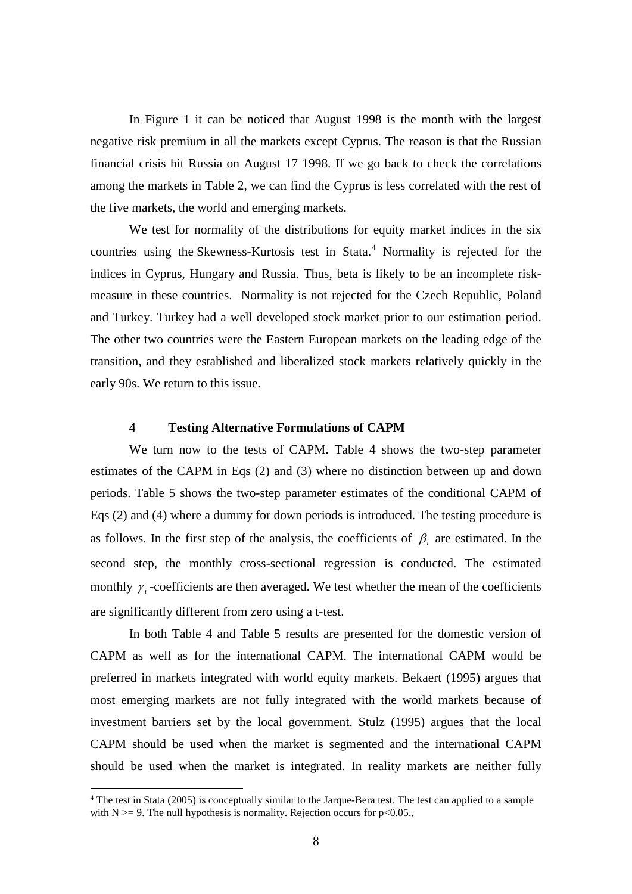In Figure 1 it can be noticed that August 1998 is the month with the largest negative risk premium in all the markets except Cyprus. The reason is that the Russian financial crisis hit Russia on August 17 1998. If we go back to check the correlations among the markets in Table 2, we can find the Cyprus is less correlated with the rest of the five markets, the world and emerging markets.

We test for normality of the distributions for equity market indices in the six countries using the Skewness-Kurtosis test in Stata.<sup>[4](#page-11-0)</sup> Normality is rejected for the indices in Cyprus, Hungary and Russia. Thus, beta is likely to be an incomplete riskmeasure in these countries. Normality is not rejected for the Czech Republic, Poland and Turkey. Turkey had a well developed stock market prior to our estimation period. The other two countries were the Eastern European markets on the leading edge of the transition, and they established and liberalized stock markets relatively quickly in the early 90s. We return to this issue.

#### **4 Testing Alternative Formulations of CAPM**

We turn now to the tests of CAPM. Table 4 shows the two-step parameter estimates of the CAPM in Eqs (2) and (3) where no distinction between up and down periods. Table 5 shows the two-step parameter estimates of the conditional CAPM of Eqs (2) and (4) where a dummy for down periods is introduced. The testing procedure is as follows. In the first step of the analysis, the coefficients of  $\beta_i$  are estimated. In the second step, the monthly cross-sectional regression is conducted. The estimated monthly  $\gamma_i$  -coefficients are then averaged. We test whether the mean of the coefficients are significantly different from zero using a t-test.

In both Table 4 and Table 5 results are presented for the domestic version of CAPM as well as for the international CAPM. The international CAPM would be preferred in markets integrated with world equity markets. Bekaert (1995) argues that most emerging markets are not fully integrated with the world markets because of investment barriers set by the local government. Stulz (1995) argues that the local CAPM should be used when the market is segmented and the international CAPM should be used when the market is integrated. In reality markets are neither fully

<span id="page-11-0"></span> <sup>4</sup> The test in Stata (2005) is conceptually similar to the Jarque-Bera test. The test can applied to a sample with  $N \ge 9$ . The null hypothesis is normality. Rejection occurs for p<0.05.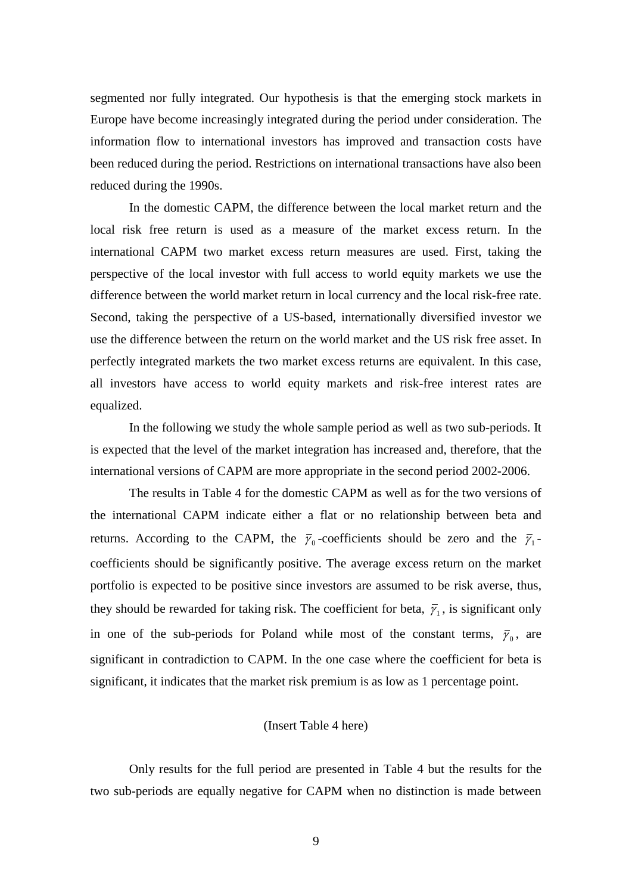segmented nor fully integrated. Our hypothesis is that the emerging stock markets in Europe have become increasingly integrated during the period under consideration. The information flow to international investors has improved and transaction costs have been reduced during the period. Restrictions on international transactions have also been reduced during the 1990s.

In the domestic CAPM, the difference between the local market return and the local risk free return is used as a measure of the market excess return. In the international CAPM two market excess return measures are used. First, taking the perspective of the local investor with full access to world equity markets we use the difference between the world market return in local currency and the local risk-free rate. Second, taking the perspective of a US-based, internationally diversified investor we use the difference between the return on the world market and the US risk free asset. In perfectly integrated markets the two market excess returns are equivalent. In this case, all investors have access to world equity markets and risk-free interest rates are equalized.

In the following we study the whole sample period as well as two sub-periods. It is expected that the level of the market integration has increased and, therefore, that the international versions of CAPM are more appropriate in the second period 2002-2006.

The results in Table 4 for the domestic CAPM as well as for the two versions of the international CAPM indicate either a flat or no relationship between beta and returns. According to the CAPM, the  $\bar{\gamma}_0$ -coefficients should be zero and the  $\bar{\gamma}_1$ coefficients should be significantly positive. The average excess return on the market portfolio is expected to be positive since investors are assumed to be risk averse, thus, they should be rewarded for taking risk. The coefficient for beta,  $\bar{y}_1$ , is significant only in one of the sub-periods for Poland while most of the constant terms,  $\bar{y}_0$ , are significant in contradiction to CAPM. In the one case where the coefficient for beta is significant, it indicates that the market risk premium is as low as 1 percentage point.

#### (Insert Table 4 here)

Only results for the full period are presented in Table 4 but the results for the two sub-periods are equally negative for CAPM when no distinction is made between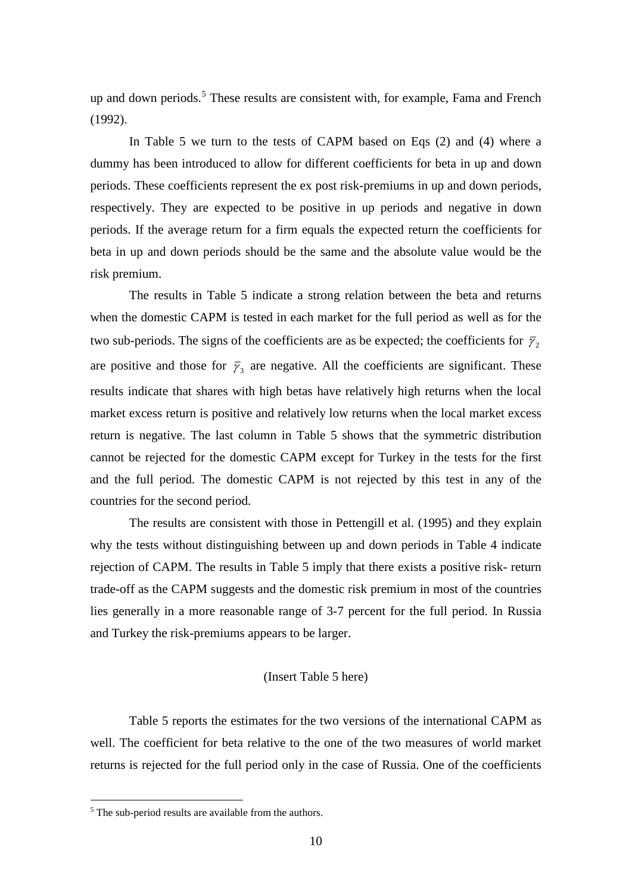up and down periods.<sup>[5](#page-13-0)</sup> These results are consistent with, for example, Fama and French (1992).

In Table 5 we turn to the tests of CAPM based on Eqs (2) and (4) where a dummy has been introduced to allow for different coefficients for beta in up and down periods. These coefficients represent the ex post risk-premiums in up and down periods, respectively. They are expected to be positive in up periods and negative in down periods. If the average return for a firm equals the expected return the coefficients for beta in up and down periods should be the same and the absolute value would be the risk premium.

The results in Table 5 indicate a strong relation between the beta and returns when the domestic CAPM is tested in each market for the full period as well as for the two sub-periods. The signs of the coefficients are as be expected; the coefficients for  $\bar{y}_2$ are positive and those for  $\bar{y}_3$  are negative. All the coefficients are significant. These results indicate that shares with high betas have relatively high returns when the local market excess return is positive and relatively low returns when the local market excess return is negative. The last column in Table 5 shows that the symmetric distribution cannot be rejected for the domestic CAPM except for Turkey in the tests for the first and the full period. The domestic CAPM is not rejected by this test in any of the countries for the second period.

The results are consistent with those in Pettengill et al. (1995) and they explain why the tests without distinguishing between up and down periods in Table 4 indicate rejection of CAPM. The results in Table 5 imply that there exists a positive risk- return trade-off as the CAPM suggests and the domestic risk premium in most of the countries lies generally in a more reasonable range of 3-7 percent for the full period. In Russia and Turkey the risk-premiums appears to be larger.

#### (Insert Table 5 here)

Table 5 reports the estimates for the two versions of the international CAPM as well. The coefficient for beta relative to the one of the two measures of world market returns is rejected for the full period only in the case of Russia. One of the coefficients

<span id="page-13-0"></span><sup>&</sup>lt;sup>5</sup> The sub-period results are available from the authors.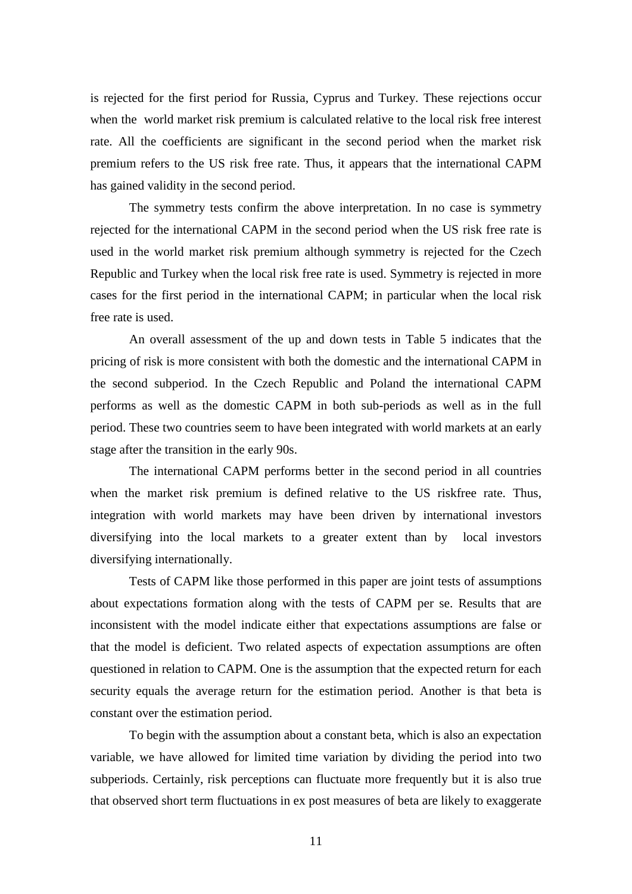is rejected for the first period for Russia, Cyprus and Turkey. These rejections occur when the world market risk premium is calculated relative to the local risk free interest rate. All the coefficients are significant in the second period when the market risk premium refers to the US risk free rate. Thus, it appears that the international CAPM has gained validity in the second period.

The symmetry tests confirm the above interpretation. In no case is symmetry rejected for the international CAPM in the second period when the US risk free rate is used in the world market risk premium although symmetry is rejected for the Czech Republic and Turkey when the local risk free rate is used. Symmetry is rejected in more cases for the first period in the international CAPM; in particular when the local risk free rate is used.

An overall assessment of the up and down tests in Table 5 indicates that the pricing of risk is more consistent with both the domestic and the international CAPM in the second subperiod. In the Czech Republic and Poland the international CAPM performs as well as the domestic CAPM in both sub-periods as well as in the full period. These two countries seem to have been integrated with world markets at an early stage after the transition in the early 90s.

The international CAPM performs better in the second period in all countries when the market risk premium is defined relative to the US riskfree rate. Thus, integration with world markets may have been driven by international investors diversifying into the local markets to a greater extent than by local investors diversifying internationally.

Tests of CAPM like those performed in this paper are joint tests of assumptions about expectations formation along with the tests of CAPM per se. Results that are inconsistent with the model indicate either that expectations assumptions are false or that the model is deficient. Two related aspects of expectation assumptions are often questioned in relation to CAPM. One is the assumption that the expected return for each security equals the average return for the estimation period. Another is that beta is constant over the estimation period.

To begin with the assumption about a constant beta, which is also an expectation variable, we have allowed for limited time variation by dividing the period into two subperiods. Certainly, risk perceptions can fluctuate more frequently but it is also true that observed short term fluctuations in ex post measures of beta are likely to exaggerate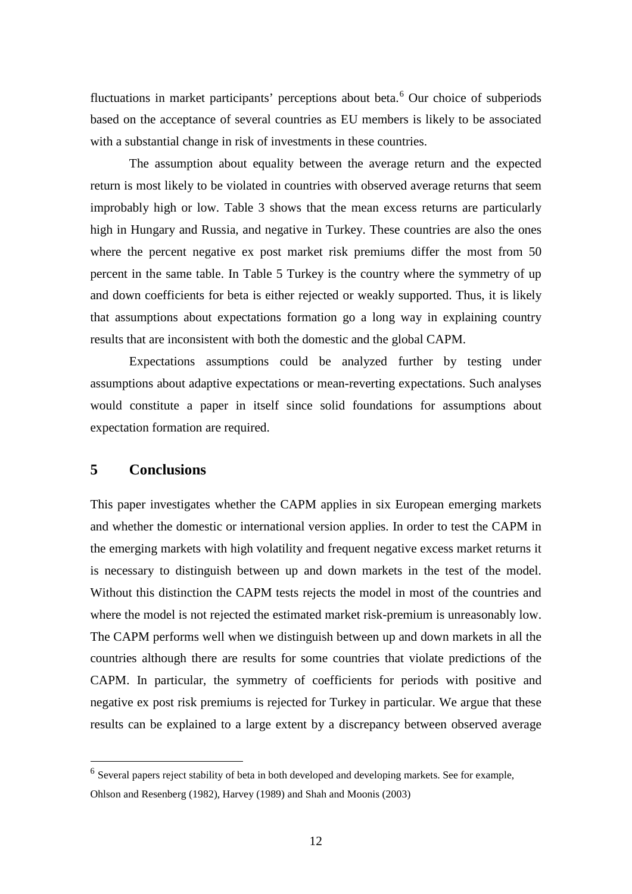fluctuations in market participants' perceptions about beta.<sup>[6](#page-15-0)</sup> Our choice of subperiods based on the acceptance of several countries as EU members is likely to be associated with a substantial change in risk of investments in these countries.

The assumption about equality between the average return and the expected return is most likely to be violated in countries with observed average returns that seem improbably high or low. Table 3 shows that the mean excess returns are particularly high in Hungary and Russia, and negative in Turkey. These countries are also the ones where the percent negative ex post market risk premiums differ the most from 50 percent in the same table. In Table 5 Turkey is the country where the symmetry of up and down coefficients for beta is either rejected or weakly supported. Thus, it is likely that assumptions about expectations formation go a long way in explaining country results that are inconsistent with both the domestic and the global CAPM.

Expectations assumptions could be analyzed further by testing under assumptions about adaptive expectations or mean-reverting expectations. Such analyses would constitute a paper in itself since solid foundations for assumptions about expectation formation are required.

#### **5 Conclusions**

This paper investigates whether the CAPM applies in six European emerging markets and whether the domestic or international version applies. In order to test the CAPM in the emerging markets with high volatility and frequent negative excess market returns it is necessary to distinguish between up and down markets in the test of the model. Without this distinction the CAPM tests rejects the model in most of the countries and where the model is not rejected the estimated market risk-premium is unreasonably low. The CAPM performs well when we distinguish between up and down markets in all the countries although there are results for some countries that violate predictions of the CAPM. In particular, the symmetry of coefficients for periods with positive and negative ex post risk premiums is rejected for Turkey in particular. We argue that these results can be explained to a large extent by a discrepancy between observed average

<span id="page-15-0"></span><sup>&</sup>lt;sup>6</sup> Several papers reject stability of beta in both developed and developing markets. See for example, Ohlson and Resenberg (1982), Harvey (1989) and Shah and Moonis (2003)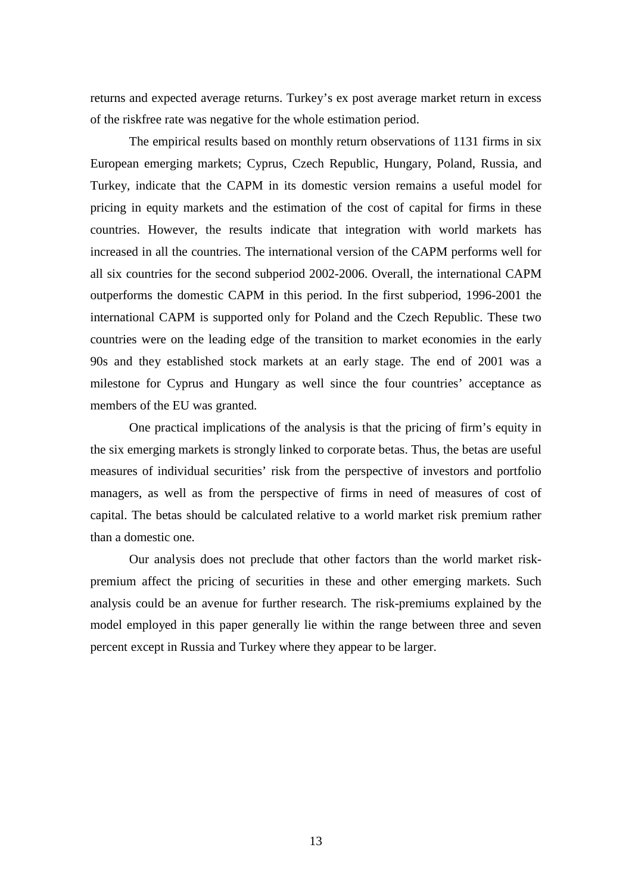returns and expected average returns. Turkey's ex post average market return in excess of the riskfree rate was negative for the whole estimation period.

The empirical results based on monthly return observations of 1131 firms in six European emerging markets; Cyprus, Czech Republic, Hungary, Poland, Russia, and Turkey, indicate that the CAPM in its domestic version remains a useful model for pricing in equity markets and the estimation of the cost of capital for firms in these countries. However, the results indicate that integration with world markets has increased in all the countries. The international version of the CAPM performs well for all six countries for the second subperiod 2002-2006. Overall, the international CAPM outperforms the domestic CAPM in this period. In the first subperiod, 1996-2001 the international CAPM is supported only for Poland and the Czech Republic. These two countries were on the leading edge of the transition to market economies in the early 90s and they established stock markets at an early stage. The end of 2001 was a milestone for Cyprus and Hungary as well since the four countries' acceptance as members of the EU was granted.

One practical implications of the analysis is that the pricing of firm's equity in the six emerging markets is strongly linked to corporate betas. Thus, the betas are useful measures of individual securities' risk from the perspective of investors and portfolio managers, as well as from the perspective of firms in need of measures of cost of capital. The betas should be calculated relative to a world market risk premium rather than a domestic one.

 Our analysis does not preclude that other factors than the world market riskpremium affect the pricing of securities in these and other emerging markets. Such analysis could be an avenue for further research. The risk-premiums explained by the model employed in this paper generally lie within the range between three and seven percent except in Russia and Turkey where they appear to be larger.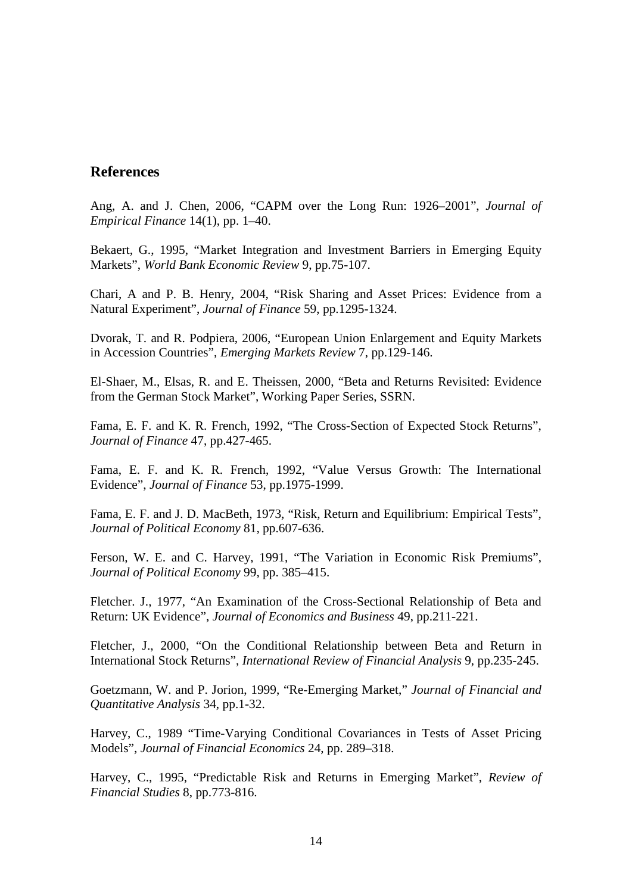#### **References**

Ang, A. and J. Chen, 2006, "CAPM over the Long Run: 1926–2001", *Journal of Empirical Finance* 14(1), pp. 1–40.

Bekaert, G., 1995, "Market Integration and Investment Barriers in Emerging Equity Markets", *World Bank Economic Review* 9, pp.75-107.

Chari, A and P. B. Henry, 2004, "Risk Sharing and Asset Prices: Evidence from a Natural Experiment", *Journal of Finance* 59, pp.1295-1324.

Dvorak, T. and R. Podpiera, 2006, "European Union Enlargement and Equity Markets in Accession Countries", *Emerging Markets Review* 7, pp.129-146.

El-Shaer, M., Elsas, R. and E. Theissen, 2000, "Beta and Returns Revisited: Evidence from the German Stock Market", Working Paper Series, SSRN.

Fama, E. F. and K. R. French, 1992, "The Cross-Section of Expected Stock Returns", *Journal of Finance* 47, pp.427-465.

Fama, E. F. and K. R. French, 1992, "Value Versus Growth: The International Evidence", *Journal of Finance* 53, pp.1975-1999.

Fama, E. F. and J. D. MacBeth, 1973, "Risk, Return and Equilibrium: Empirical Tests", *Journal of Political Economy* 81*,* pp.607-636.

Ferson, W. E. and C. Harvey, 1991, "The Variation in Economic Risk Premiums", *Journal of Political Economy* 99, pp. 385–415.

Fletcher. J., 1977, "An Examination of the Cross-Sectional Relationship of Beta and Return: UK Evidence", *Journal of Economics and Business* 49, pp.211-221.

Fletcher, J., 2000, "On the Conditional Relationship between Beta and Return in International Stock Returns", *International Review of Financial Analysis* 9, pp.235-245.

Goetzmann, W. and P. Jorion, 1999, "Re-Emerging Market," *Journal of Financial and Quantitative Analysis* 34, pp.1-32.

Harvey, C., 1989 "Time-Varying Conditional Covariances in Tests of Asset Pricing Models", *Journal of Financial Economics* 24, pp. 289–318.

Harvey, C., 1995, "Predictable Risk and Returns in Emerging Market", *Review of Financial Studies* 8, pp.773-816.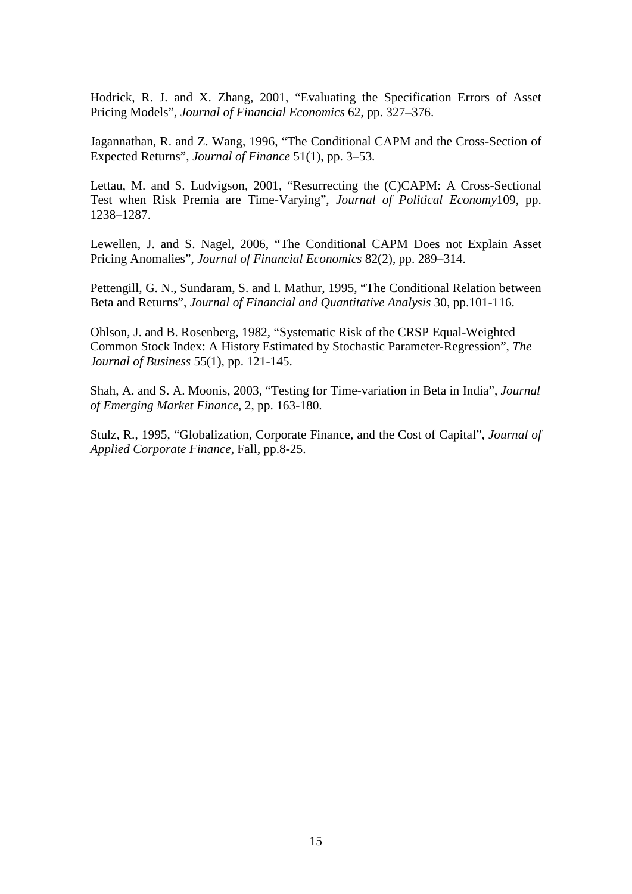Hodrick, R. J. and X. Zhang, 2001, "Evaluating the Specification Errors of Asset Pricing Models", *Journal of Financial Economics* 62, pp. 327–376.

Jagannathan, R. and Z. Wang, 1996, "The Conditional CAPM and the Cross-Section of Expected Returns", *Journal of Finance* 51(1), pp. 3–53.

Lettau, M. and S. Ludvigson, 2001, "Resurrecting the (C)CAPM: A Cross-Sectional Test when Risk Premia are Time-Varying", *Journal of Political Economy*109, pp. 1238–1287.

Lewellen, J. and S. Nagel, 2006, "The Conditional CAPM Does not Explain Asset Pricing Anomalies", *Journal of Financial Economics* 82(2), pp. 289–314.

Pettengill, G. N., Sundaram, S. and I. Mathur, 1995, "The Conditional Relation between Beta and Returns", *Journal of Financial and Quantitative Analysis* 30, pp.101-116.

Ohlson, J. and B. Rosenberg, 1982, "Systematic Risk of the CRSP Equal-Weighted Common Stock Index: A History Estimated by Stochastic Parameter-Regression", *The Journal of Business* 55(1), pp. 121-145.

Shah, A. and S. A. Moonis, 2003, "Testing for Time-variation in Beta in India", *Journal of Emerging Market Finance*, 2, pp. 163-180.

Stulz, R., 1995, "Globalization, Corporate Finance, and the Cost of Capital", *Journal of Applied Corporate Finance*, Fall, pp.8-25.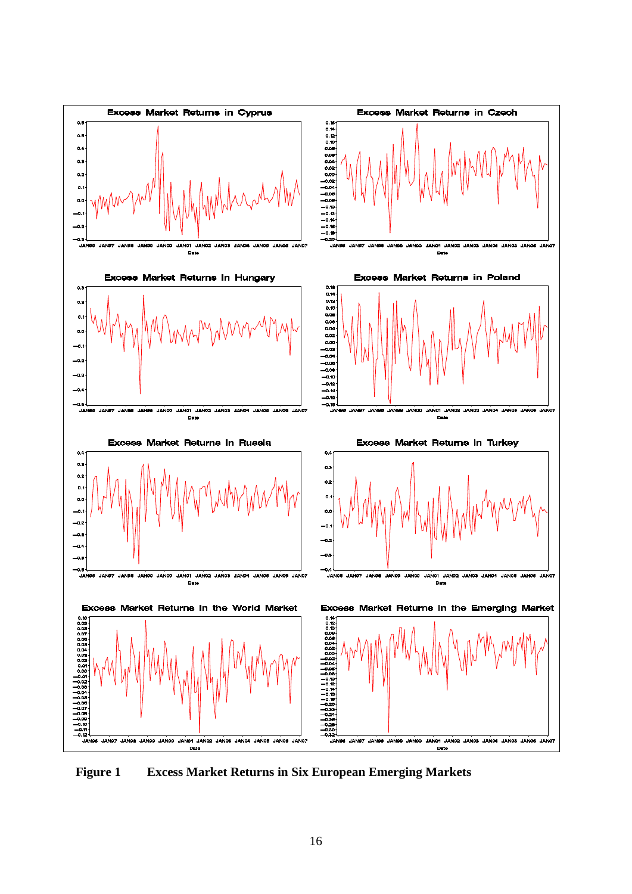

**Figure 1 Excess Market Returns in Six European Emerging Markets**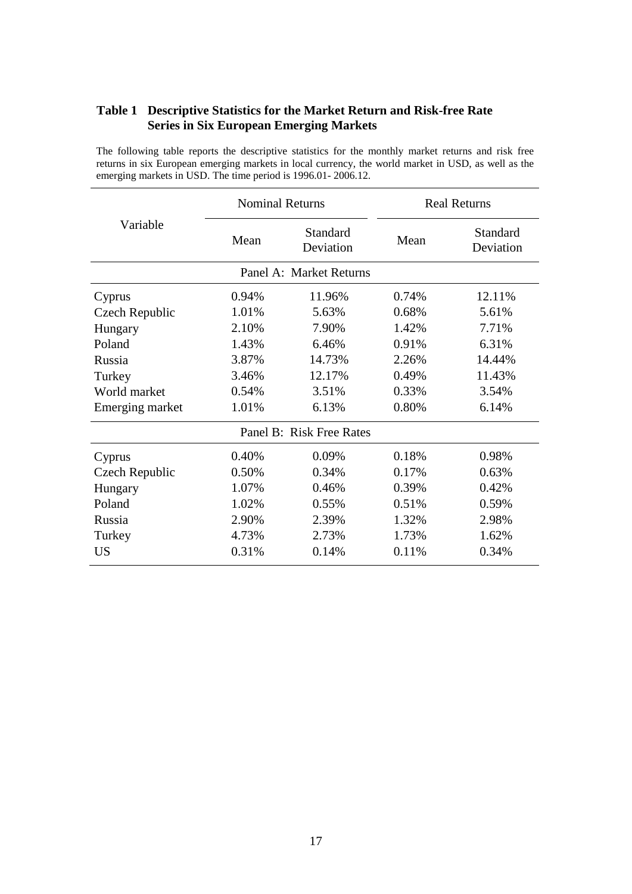#### **Table 1 Descriptive Statistics for the Market Return and Risk-free Rate Series in Six European Emerging Markets**

The following table reports the descriptive statistics for the monthly market returns and risk free returns in six European emerging markets in local currency, the world market in USD, as well as the emerging markets in USD. The time period is 1996.01- 2006.12.

| Variable        | <b>Nominal Returns</b> |                          | <b>Real Returns</b> |                       |
|-----------------|------------------------|--------------------------|---------------------|-----------------------|
|                 | Mean                   | Standard<br>Deviation    | Mean                | Standard<br>Deviation |
|                 |                        | Panel A: Market Returns  |                     |                       |
| Cyprus          | 0.94%                  | 11.96%                   | 0.74%               | 12.11%                |
| Czech Republic  | 1.01%                  | 5.63%                    | 0.68%               | 5.61%                 |
| Hungary         | 2.10%                  | 7.90%                    | 1.42%               | 7.71%                 |
| Poland          | 1.43%                  | 6.46%                    | 0.91%               | 6.31%                 |
| Russia          | 3.87%                  | 14.73%                   | 2.26%               | 14.44%                |
| Turkey          | 3.46%                  | 12.17%                   | 0.49%               | 11.43%                |
| World market    | 0.54%                  | 3.51%                    | 0.33%               | 3.54%                 |
| Emerging market | 1.01%                  | 6.13%                    | 0.80%               | 6.14%                 |
|                 |                        | Panel B: Risk Free Rates |                     |                       |
| Cyprus          | 0.40%                  | 0.09%                    | 0.18%               | 0.98%                 |
| Czech Republic  | 0.50%                  | 0.34%                    | 0.17%               | 0.63%                 |
| Hungary         | 1.07%                  | 0.46%                    | 0.39%               | 0.42%                 |
| Poland          | 1.02%                  | 0.55%                    | 0.51%               | 0.59%                 |
| Russia          | 2.90%                  | 2.39%                    | 1.32%               | 2.98%                 |
| Turkey          | 4.73%                  | 2.73%                    | 1.73%               | 1.62%                 |
| <b>US</b>       | 0.31%                  | 0.14%                    | 0.11%               | 0.34%                 |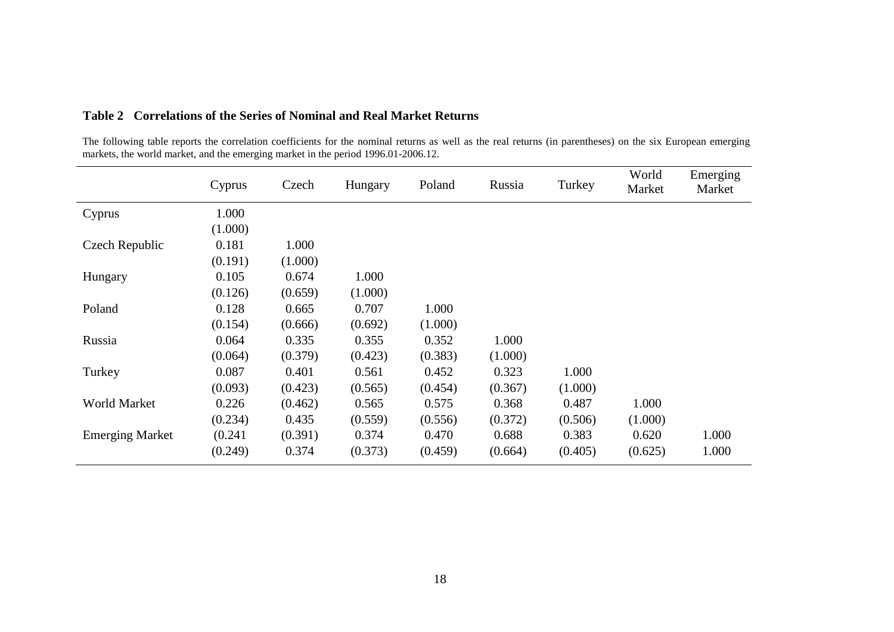|                        | Cyprus  | Czech   | Hungary | Poland  | Russia  | Turkey  | World<br>Market | Emerging<br>Market |
|------------------------|---------|---------|---------|---------|---------|---------|-----------------|--------------------|
| Cyprus                 | 1.000   |         |         |         |         |         |                 |                    |
|                        | (1.000) |         |         |         |         |         |                 |                    |
| Czech Republic         | 0.181   | 1.000   |         |         |         |         |                 |                    |
|                        | (0.191) | (1.000) |         |         |         |         |                 |                    |
| Hungary                | 0.105   | 0.674   | 1.000   |         |         |         |                 |                    |
|                        | (0.126) | (0.659) | (1.000) |         |         |         |                 |                    |
| Poland                 | 0.128   | 0.665   | 0.707   | 1.000   |         |         |                 |                    |
|                        | (0.154) | (0.666) | (0.692) | (1.000) |         |         |                 |                    |
| Russia                 | 0.064   | 0.335   | 0.355   | 0.352   | 1.000   |         |                 |                    |
|                        | (0.064) | (0.379) | (0.423) | (0.383) | (1.000) |         |                 |                    |
| Turkey                 | 0.087   | 0.401   | 0.561   | 0.452   | 0.323   | 1.000   |                 |                    |
|                        | (0.093) | (0.423) | (0.565) | (0.454) | (0.367) | (1.000) |                 |                    |
| World Market           | 0.226   | (0.462) | 0.565   | 0.575   | 0.368   | 0.487   | 1.000           |                    |
|                        | (0.234) | 0.435   | (0.559) | (0.556) | (0.372) | (0.506) | (1.000)         |                    |
| <b>Emerging Market</b> | (0.241) | (0.391) | 0.374   | 0.470   | 0.688   | 0.383   | 0.620           | 1.000              |
|                        | (0.249) | 0.374   | (0.373) | (0.459) | (0.664) | (0.405) | (0.625)         | 1.000              |

## **Table 2 Correlations of the Series of Nominal and Real Market Returns**

The following table reports the correlation coefficients for the nominal returns as well as the real returns (in parentheses) on the six European emerging markets, the world market, and the emerging market in the period 1996.01-2006.12.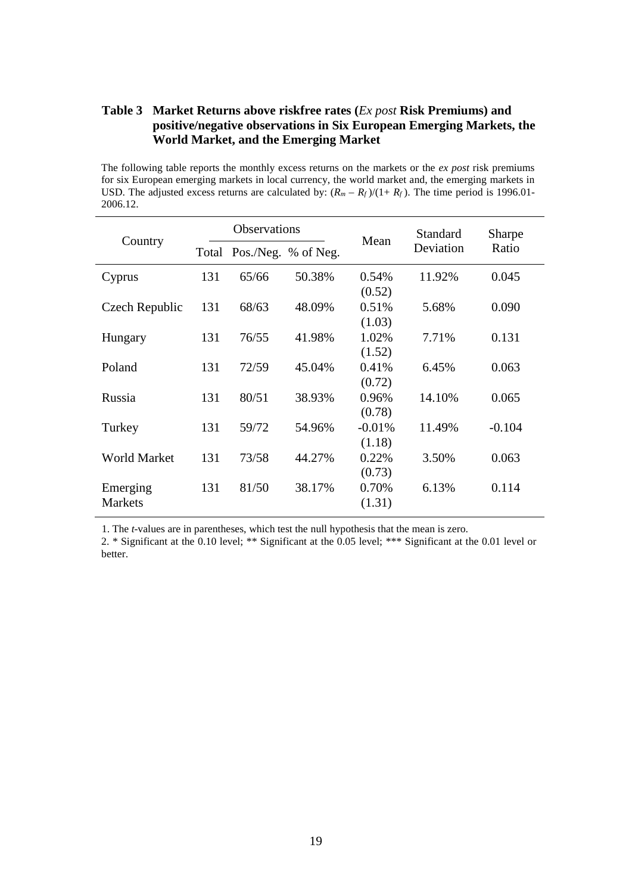#### **Table 3 Market Returns above riskfree rates (***Ex post* **Risk Premiums) and positive/negative observations in Six European Emerging Markets, the World Market, and the Emerging Market**

The following table reports the monthly excess returns on the markets or the *ex post* risk premiums for six European emerging markets in local currency, the world market and, the emerging markets in USD. The adjusted excess returns are calculated by:  $(R_m - R_f)/(1 + R_f)$ . The time period is 1996.01-2006.12.

| Country             | <b>Observations</b> |       | Mean                | Standard | Sharpe    |          |
|---------------------|---------------------|-------|---------------------|----------|-----------|----------|
|                     | Total               |       | Pos./Neg. % of Neg. |          | Deviation | Ratio    |
| Cyprus              | 131                 | 65/66 | 50.38%              | 0.54%    | 11.92%    | 0.045    |
|                     |                     |       |                     | (0.52)   |           |          |
| Czech Republic      | 131                 | 68/63 | 48.09%              | 0.51%    | 5.68%     | 0.090    |
|                     |                     |       |                     | (1.03)   |           |          |
| Hungary             | 131                 | 76/55 | 41.98%              | 1.02%    | 7.71%     | 0.131    |
|                     |                     |       |                     | (1.52)   |           |          |
| Poland              | 131                 | 72/59 | 45.04%              | 0.41%    | 6.45%     | 0.063    |
|                     |                     |       |                     | (0.72)   |           |          |
| Russia              | 131                 | 80/51 | 38.93%              | 0.96%    | 14.10%    | 0.065    |
|                     |                     |       |                     | (0.78)   |           |          |
| Turkey              | 131                 | 59/72 | 54.96%              | $-0.01%$ | 11.49%    | $-0.104$ |
|                     |                     |       |                     | (1.18)   |           |          |
| <b>World Market</b> | 131                 | 73/58 | 44.27%              | 0.22%    | 3.50%     | 0.063    |
|                     |                     |       |                     | (0.73)   |           |          |
| Emerging            | 131                 | 81/50 | 38.17%              | 0.70%    | 6.13%     | 0.114    |
| <b>Markets</b>      |                     |       |                     | (1.31)   |           |          |
|                     |                     |       |                     |          |           |          |

1. The *t*-values are in parentheses, which test the null hypothesis that the mean is zero.

2. \* Significant at the 0.10 level; \*\* Significant at the 0.05 level; \*\*\* Significant at the 0.01 level or better.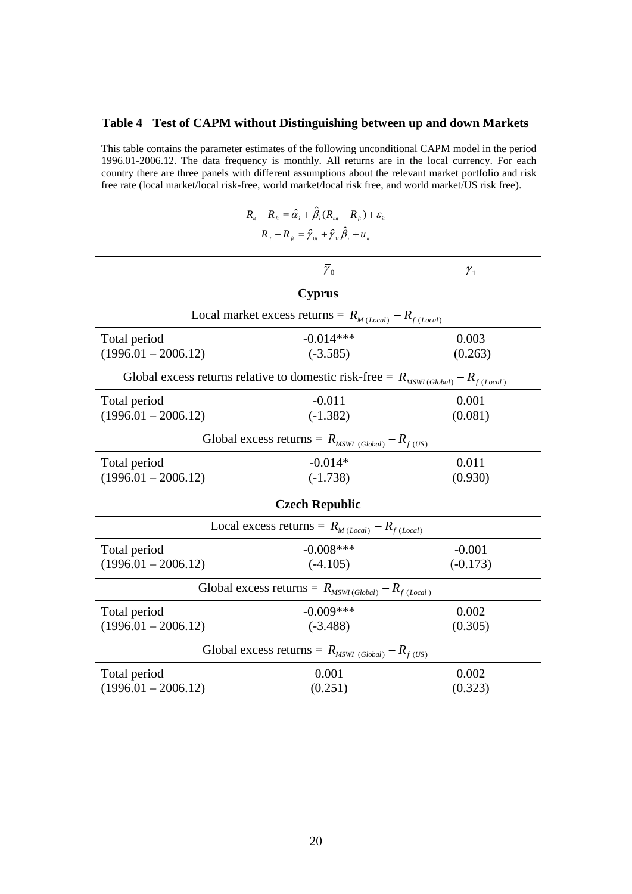# **Table 4 Test of CAPM without Distinguishing between up and down Markets**

This table contains the parameter estimates of the following unconditional CAPM model in the period 1996.01-2006.12. The data frequency is monthly. All returns are in the local currency. For each country there are three panels with different assumptions about the relevant market portfolio and risk free rate (local market/local risk-free, world market/local risk free, and world market/US risk free).

$$
R_{ii} - R_{ji} = \hat{\alpha}_i + \hat{\beta}_i (R_{mi} - R_{ji}) + \varepsilon_{ii}
$$
  

$$
R_{ii} - R_{ji} = \hat{\gamma}_{0i} + \hat{\gamma}_{1i} \hat{\beta}_i + u_{ii}
$$

|                                                                                          | $\bar{\gamma}_0$                                              | $\bar{\gamma}_1$ |  |  |
|------------------------------------------------------------------------------------------|---------------------------------------------------------------|------------------|--|--|
|                                                                                          | <b>Cyprus</b>                                                 |                  |  |  |
|                                                                                          | Local market excess returns = $R_{M (Local)} - R_{f (Local)}$ |                  |  |  |
| Total period                                                                             | $-0.014***$                                                   | 0.003            |  |  |
| $(1996.01 - 2006.12)$                                                                    | $(-3.585)$                                                    | (0.263)          |  |  |
| Global excess returns relative to domestic risk-free = $R_{MSWI(Global)} - R_{f(Local)}$ |                                                               |                  |  |  |
| Total period                                                                             | $-0.011$                                                      | 0.001            |  |  |
| $(1996.01 - 2006.12)$                                                                    | $(-1.382)$                                                    | (0.081)          |  |  |
|                                                                                          | Global excess returns = $R_{MSWI(Global)} - R_{f(US)}$        |                  |  |  |
| Total period                                                                             | $-0.014*$                                                     | 0.011            |  |  |
| $(1996.01 - 2006.12)$                                                                    | $(-1.738)$                                                    | (0.930)          |  |  |
|                                                                                          | <b>Czech Republic</b>                                         |                  |  |  |
|                                                                                          | Local excess returns = $R_{M (Local)} - R_{f (Local)}$        |                  |  |  |
| Total period                                                                             | $-0.008***$                                                   | $-0.001$         |  |  |
| $(1996.01 - 2006.12)$                                                                    | $(-4.105)$                                                    | $(-0.173)$       |  |  |
| Global excess returns = $R_{MSWI(Global)} - R_{f (Local)}$                               |                                                               |                  |  |  |
| Total period                                                                             | $-0.009$ ***                                                  | 0.002            |  |  |
| $(1996.01 - 2006.12)$                                                                    | $(-3.488)$                                                    | (0.305)          |  |  |
| Global excess returns = $R_{MSWI(Global)} - R_{f(US)}$                                   |                                                               |                  |  |  |
| Total period                                                                             | 0.001                                                         | 0.002            |  |  |
| $(1996.01 - 2006.12)$                                                                    | (0.251)                                                       | (0.323)          |  |  |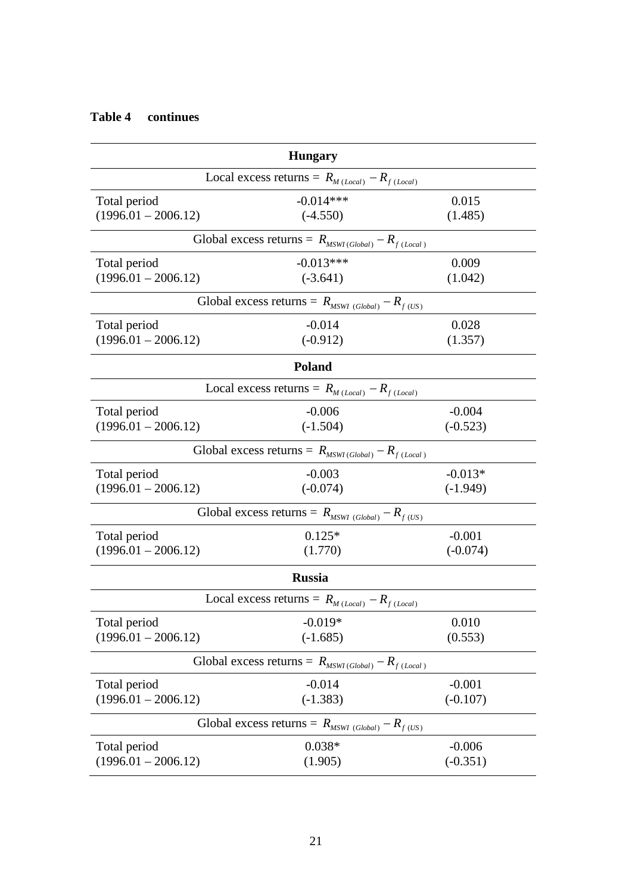| <b>Hungary</b>                                            |                                                           |            |  |  |
|-----------------------------------------------------------|-----------------------------------------------------------|------------|--|--|
|                                                           | Local excess returns = $R_{M (Local)} - R_{f (Local)}$    |            |  |  |
| Total period                                              | $-0.014***$                                               | 0.015      |  |  |
| $(1996.01 - 2006.12)$                                     | $(-4.550)$                                                | (1.485)    |  |  |
|                                                           | Global excess returns = $R_{MSWI(Global)} - R_{f(Local)}$ |            |  |  |
| Total period                                              | $-0.013***$                                               | 0.009      |  |  |
| $(1996.01 - 2006.12)$                                     | $(-3.641)$                                                | (1.042)    |  |  |
|                                                           | Global excess returns = $R_{MSWI(Global)} - R_{f(US)}$    |            |  |  |
| Total period                                              | $-0.014$                                                  | 0.028      |  |  |
| $(1996.01 - 2006.12)$                                     | $(-0.912)$                                                | (1.357)    |  |  |
|                                                           | <b>Poland</b>                                             |            |  |  |
|                                                           | Local excess returns = $R_{M (Local)} - R_{f (Local)}$    |            |  |  |
| Total period                                              | $-0.006$                                                  | $-0.004$   |  |  |
| $(1996.01 - 2006.12)$                                     | $(-1.504)$                                                | $(-0.523)$ |  |  |
|                                                           | Global excess returns = $R_{MSWI(Global)} - R_{f(Local)}$ |            |  |  |
| Total period                                              | $-0.003$                                                  | $-0.013*$  |  |  |
| $(1996.01 - 2006.12)$                                     | $(-0.074)$                                                | $(-1.949)$ |  |  |
|                                                           | Global excess returns = $R_{MSWI(Global)} - R_{f(US)}$    |            |  |  |
| Total period                                              | $0.125*$                                                  | $-0.001$   |  |  |
| $(1996.01 - 2006.12)$                                     | (1.770)                                                   | $(-0.074)$ |  |  |
|                                                           | <b>Russia</b>                                             |            |  |  |
|                                                           | Local excess returns = $R_{M (Local)} - R_{f (Local)}$    |            |  |  |
| Total period                                              | $-0.019*$                                                 | 0.010      |  |  |
| $(1996.01 - 2006.12)$                                     | $(-1.685)$                                                | (0.553)    |  |  |
| Global excess returns = $R_{MSWI(Global)} - R_{f(Local)}$ |                                                           |            |  |  |
| Total period                                              | $-0.014$                                                  | $-0.001$   |  |  |
| $(1996.01 - 2006.12)$                                     | $(-1.383)$                                                | $(-0.107)$ |  |  |
|                                                           | Global excess returns = $R_{MSWI(Global)} - R_{f(US)}$    |            |  |  |
| Total period                                              | $0.038*$                                                  | $-0.006$   |  |  |
| $(1996.01 - 2006.12)$                                     | (1.905)                                                   | $(-0.351)$ |  |  |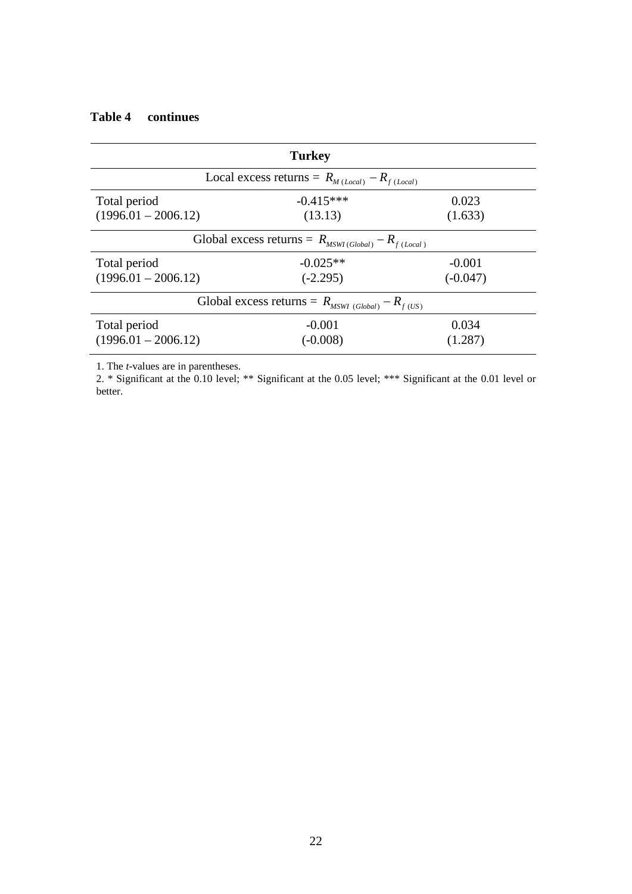|                                                            | <b>Turkey</b>                                          |            |  |  |
|------------------------------------------------------------|--------------------------------------------------------|------------|--|--|
|                                                            | Local excess returns = $R_{M (Local)} - R_{f (Local)}$ |            |  |  |
| Total period                                               | $-0.415***$                                            | 0.023      |  |  |
| $(1996.01 - 2006.12)$                                      | (13.13)                                                | (1.633)    |  |  |
| Global excess returns = $R_{MSWI(Global)} - R_{f (Local)}$ |                                                        |            |  |  |
| Total period                                               | $-0.025**$                                             | $-0.001$   |  |  |
| $(1996.01 - 2006.12)$                                      | $(-2.295)$                                             | $(-0.047)$ |  |  |
| Global excess returns = $R_{MSWI(Global)} - R_{f(US)}$     |                                                        |            |  |  |
| Total period                                               | $-0.001$                                               | 0.034      |  |  |
| $(1996.01 - 2006.12)$                                      | $(-0.008)$                                             | (1.287)    |  |  |

1. The *t*-values are in parentheses.

2. \* Significant at the 0.10 level; \*\* Significant at the 0.05 level; \*\*\* Significant at the 0.01 level or better.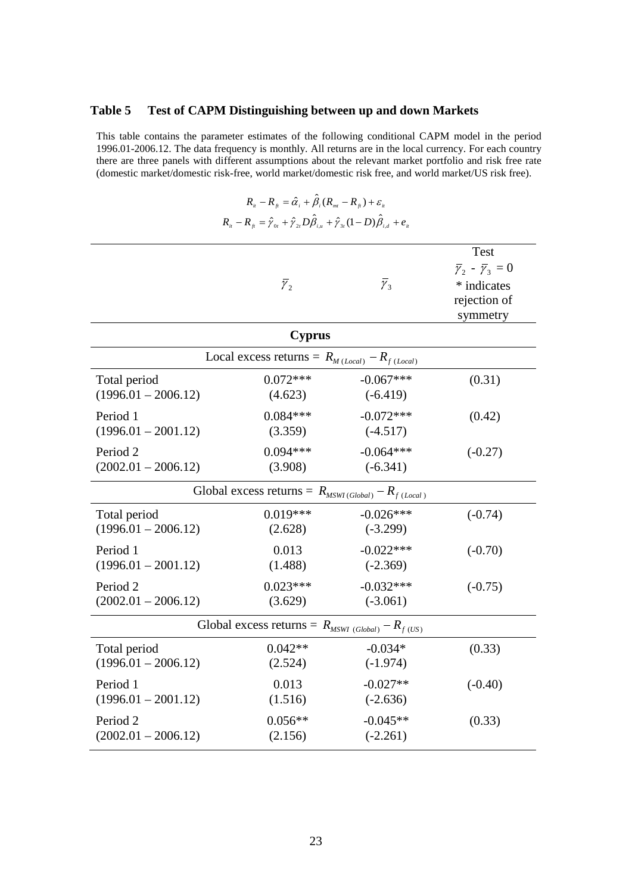#### **Table 5 Test of CAPM Distinguishing between up and down Markets**

This table contains the parameter estimates of the following conditional CAPM model in the period 1996.01-2006.12. The data frequency is monthly. All returns are in the local currency. For each country there are three panels with different assumptions about the relevant market portfolio and risk free rate (domestic market/domestic risk-free, world market/domestic risk free, and world market/US risk free).

 $R_{it} - R_{ft} = \hat{\alpha}_i + \hat{\beta}_i (R_{mt} - R_{ft}) + \varepsilon_{it}$ 

| $R_{ii} - R_{jj} = \hat{\gamma}_{0i} + \hat{\gamma}_{2i} D \hat{\beta}_{i,u} + \hat{\gamma}_{3i} (1 - D) \hat{\beta}_{i,d} + e_{ii}$ |                                                           |                       |                                                                                                 |  |  |
|--------------------------------------------------------------------------------------------------------------------------------------|-----------------------------------------------------------|-----------------------|-------------------------------------------------------------------------------------------------|--|--|
|                                                                                                                                      | $\bar{\gamma}_2$                                          | $\overline{\gamma}_3$ | <b>Test</b><br>$\bar{\gamma}_2 - \bar{\gamma}_3 = 0$<br>* indicates<br>rejection of<br>symmetry |  |  |
|                                                                                                                                      | <b>Cyprus</b>                                             |                       |                                                                                                 |  |  |
|                                                                                                                                      | Local excess returns = $R_{M (Local)} - R_{f (Local)}$    |                       |                                                                                                 |  |  |
| Total period                                                                                                                         | $0.072***$                                                | $-0.067***$           | (0.31)                                                                                          |  |  |
| $(1996.01 - 2006.12)$                                                                                                                | (4.623)                                                   | $(-6.419)$            |                                                                                                 |  |  |
| Period 1                                                                                                                             | $0.084***$                                                | $-0.072***$           | (0.42)                                                                                          |  |  |
| $(1996.01 - 2001.12)$                                                                                                                | (3.359)                                                   | $(-4.517)$            |                                                                                                 |  |  |
| Period <sub>2</sub>                                                                                                                  | $0.094***$                                                | $-0.064***$           | $(-0.27)$                                                                                       |  |  |
| $(2002.01 - 2006.12)$                                                                                                                | (3.908)                                                   | $(-6.341)$            |                                                                                                 |  |  |
|                                                                                                                                      | Global excess returns = $R_{MSWI(Global)} - R_{f(Local)}$ |                       |                                                                                                 |  |  |
| Total period                                                                                                                         | $0.019***$                                                | $-0.026***$           | $(-0.74)$                                                                                       |  |  |
| $(1996.01 - 2006.12)$                                                                                                                | (2.628)                                                   | $(-3.299)$            |                                                                                                 |  |  |
| Period 1                                                                                                                             | 0.013                                                     | $-0.022***$           | $(-0.70)$                                                                                       |  |  |
| $(1996.01 - 2001.12)$                                                                                                                | (1.488)                                                   | $(-2.369)$            |                                                                                                 |  |  |
| Period <sub>2</sub>                                                                                                                  | $0.023***$                                                | $-0.032***$           | $(-0.75)$                                                                                       |  |  |
| $(2002.01 - 2006.12)$                                                                                                                | (3.629)                                                   | $(-3.061)$            |                                                                                                 |  |  |
|                                                                                                                                      | Global excess returns = $R_{MSWI(Global)} - R_{f(US)}$    |                       |                                                                                                 |  |  |
| Total period                                                                                                                         | $0.042**$                                                 | $-0.034*$             | (0.33)                                                                                          |  |  |
| $(1996.01 - 2006.12)$                                                                                                                | (2.524)                                                   | $(-1.974)$            |                                                                                                 |  |  |
| Period 1                                                                                                                             | 0.013                                                     | $-0.027**$            | $(-0.40)$                                                                                       |  |  |
| $(1996.01 - 2001.12)$                                                                                                                | (1.516)                                                   | $(-2.636)$            |                                                                                                 |  |  |
| Period <sub>2</sub>                                                                                                                  | $0.056**$                                                 | $-0.045**$            | (0.33)                                                                                          |  |  |
| $(2002.01 - 2006.12)$                                                                                                                | (2.156)                                                   | $(-2.261)$            |                                                                                                 |  |  |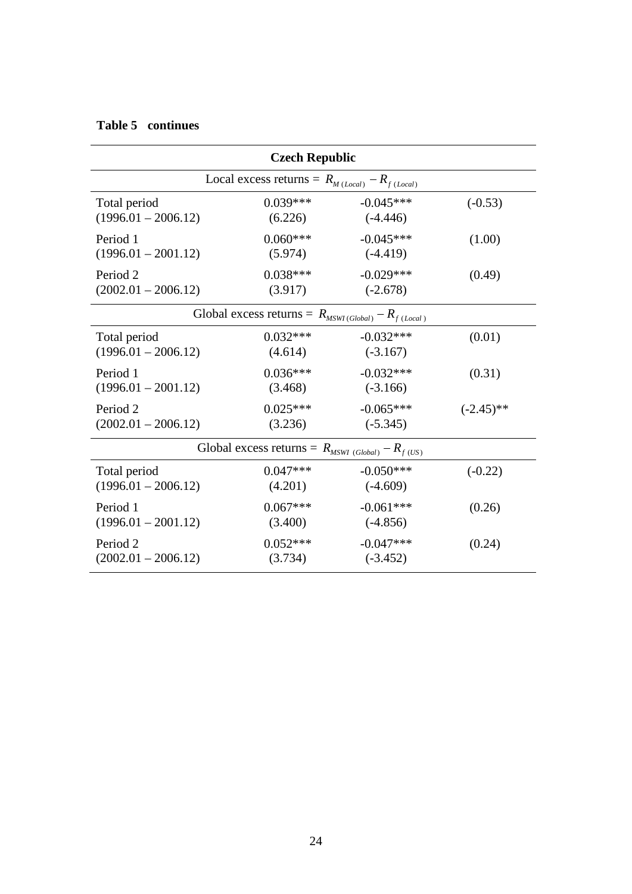|                       | <b>Czech Republic</b>                                     |             |              |
|-----------------------|-----------------------------------------------------------|-------------|--------------|
|                       | Local excess returns = $R_{M (Local)} - R_{f (Local)}$    |             |              |
| Total period          | $0.039***$                                                | $-0.045***$ | $(-0.53)$    |
| $(1996.01 - 2006.12)$ | (6.226)                                                   | $(-4.446)$  |              |
| Period 1              | $0.060***$                                                | $-0.045***$ | (1.00)       |
| $(1996.01 - 2001.12)$ | (5.974)                                                   | $(-4.419)$  |              |
| Period <sub>2</sub>   | $0.038***$                                                | $-0.029***$ | (0.49)       |
| $(2002.01 - 2006.12)$ | (3.917)                                                   | $(-2.678)$  |              |
|                       | Global excess returns = $R_{MSWI(Global)} - R_{f(Local)}$ |             |              |
| Total period          | $0.032***$                                                | $-0.032***$ | (0.01)       |
| $(1996.01 - 2006.12)$ | (4.614)                                                   | $(-3.167)$  |              |
| Period 1              | $0.036***$                                                | $-0.032***$ | (0.31)       |
| $(1996.01 - 2001.12)$ | (3.468)                                                   | $(-3.166)$  |              |
| Period 2              | $0.025***$                                                | $-0.065***$ | $(-2.45)$ ** |
| $(2002.01 - 2006.12)$ | (3.236)                                                   | $(-5.345)$  |              |
|                       | Global excess returns = $R_{MSWI(Global)} - R_{f(US)}$    |             |              |
| Total period          | $0.047***$                                                | $-0.050***$ | $(-0.22)$    |
| $(1996.01 - 2006.12)$ | (4.201)                                                   | $(-4.609)$  |              |
| Period 1              | $0.067***$                                                | $-0.061***$ | (0.26)       |
| $(1996.01 - 2001.12)$ | (3.400)                                                   | $(-4.856)$  |              |
| Period <sub>2</sub>   | $0.052***$                                                | $-0.047***$ | (0.24)       |
| $(2002.01 - 2006.12)$ | (3.734)                                                   | $(-3.452)$  |              |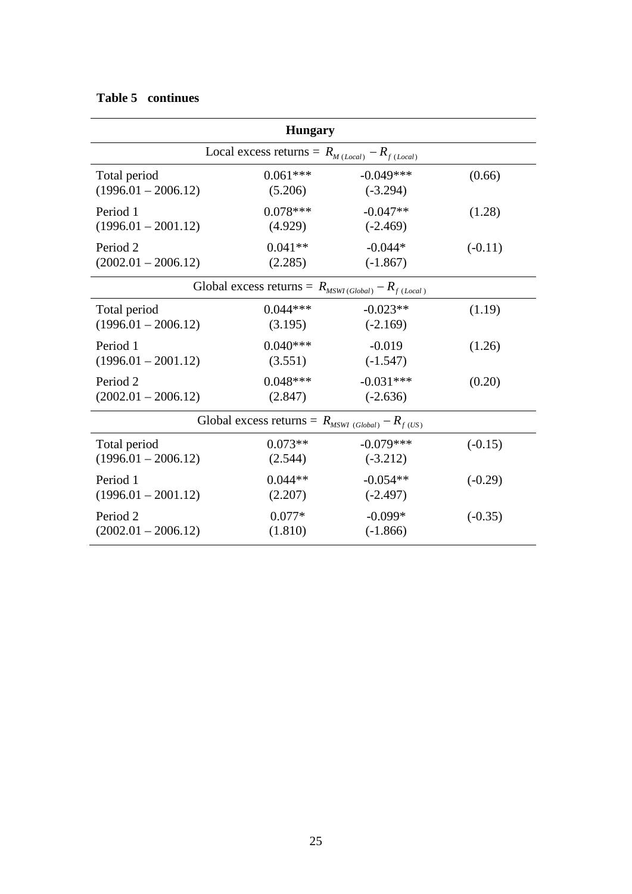| <b>Hungary</b>        |                                                        |                                                           |           |  |
|-----------------------|--------------------------------------------------------|-----------------------------------------------------------|-----------|--|
|                       | Local excess returns = $R_{M (Local)} - R_{f (Local)}$ |                                                           |           |  |
| Total period          | $0.061***$                                             | $-0.049***$                                               | (0.66)    |  |
| $(1996.01 - 2006.12)$ | (5.206)                                                | $(-3.294)$                                                |           |  |
| Period 1              | $0.078***$                                             | $-0.047**$                                                | (1.28)    |  |
| $(1996.01 - 2001.12)$ | (4.929)                                                | $(-2.469)$                                                |           |  |
| Period <sub>2</sub>   | $0.041**$                                              | $-0.044*$                                                 | $(-0.11)$ |  |
| $(2002.01 - 2006.12)$ | (2.285)                                                | $(-1.867)$                                                |           |  |
|                       |                                                        | Global excess returns = $R_{MSWI(Global)} - R_{f(Local)}$ |           |  |
| Total period          | $0.044***$                                             | $-0.023**$                                                | (1.19)    |  |
| $(1996.01 - 2006.12)$ | (3.195)                                                | $(-2.169)$                                                |           |  |
| Period 1              | $0.040***$                                             | $-0.019$                                                  | (1.26)    |  |
| $(1996.01 - 2001.12)$ | (3.551)                                                | $(-1.547)$                                                |           |  |
| Period 2              | $0.048***$                                             | $-0.031***$                                               | (0.20)    |  |
| $(2002.01 - 2006.12)$ | (2.847)                                                | $(-2.636)$                                                |           |  |
|                       | Global excess returns = $R_{MSWI(Global)} - R_{f(US)}$ |                                                           |           |  |
| Total period          | $0.073**$                                              | $-0.079***$                                               | $(-0.15)$ |  |
| $(1996.01 - 2006.12)$ | (2.544)                                                | $(-3.212)$                                                |           |  |
| Period 1              | $0.044**$                                              | $-0.054**$                                                | $(-0.29)$ |  |
| $(1996.01 - 2001.12)$ | (2.207)                                                | $(-2.497)$                                                |           |  |
| Period 2              | $0.077*$                                               | $-0.099*$                                                 | $(-0.35)$ |  |
| $(2002.01 - 2006.12)$ | (1.810)                                                | $(-1.866)$                                                |           |  |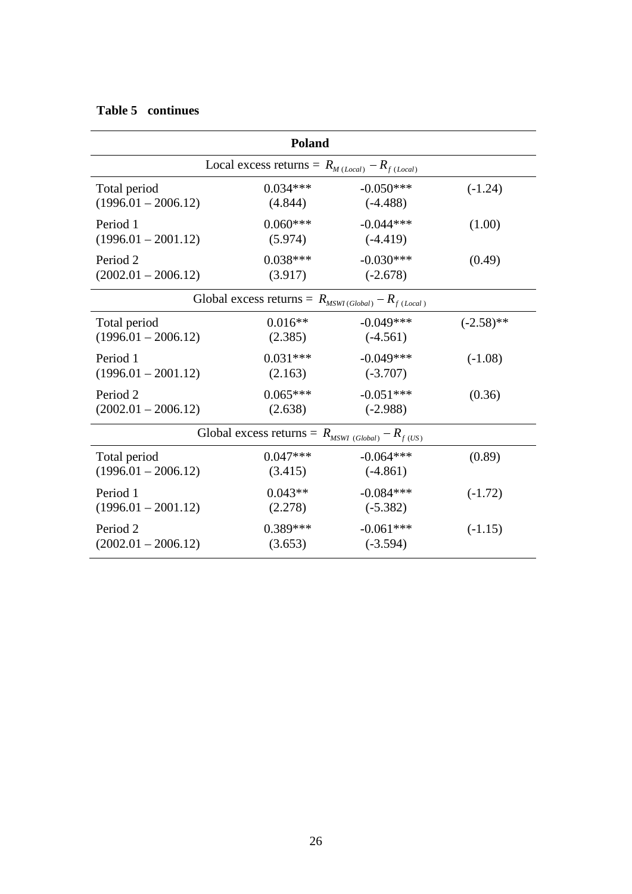| <b>Poland</b>         |                                                            |             |              |  |
|-----------------------|------------------------------------------------------------|-------------|--------------|--|
|                       | Local excess returns = $R_{M (Local)} - R_{f (Local)}$     |             |              |  |
| Total period          | $0.034***$                                                 | $-0.050***$ | $(-1.24)$    |  |
| $(1996.01 - 2006.12)$ | (4.844)                                                    | $(-4.488)$  |              |  |
| Period 1              | $0.060***$                                                 | $-0.044***$ | (1.00)       |  |
| $(1996.01 - 2001.12)$ | (5.974)                                                    | $(-4.419)$  |              |  |
| Period <sub>2</sub>   | $0.038***$                                                 | $-0.030***$ | (0.49)       |  |
| $(2002.01 - 2006.12)$ | (3.917)                                                    | $(-2.678)$  |              |  |
|                       | Global excess returns = $R_{MSWI(Global)} - R_{f (Local)}$ |             |              |  |
| Total period          | $0.016**$                                                  | $-0.049***$ | $(-2.58)$ ** |  |
| $(1996.01 - 2006.12)$ | (2.385)                                                    | $(-4.561)$  |              |  |
| Period 1              | $0.031***$                                                 | $-0.049***$ | $(-1.08)$    |  |
| $(1996.01 - 2001.12)$ | (2.163)                                                    | $(-3.707)$  |              |  |
| Period <sub>2</sub>   | $0.065***$                                                 | $-0.051***$ | (0.36)       |  |
| $(2002.01 - 2006.12)$ | (2.638)                                                    | $(-2.988)$  |              |  |
|                       | Global excess returns = $R_{MSWI(Global)} - R_{f(US)}$     |             |              |  |
| Total period          | $0.047***$                                                 | $-0.064***$ | (0.89)       |  |
| $(1996.01 - 2006.12)$ | (3.415)                                                    | $(-4.861)$  |              |  |
| Period 1              | $0.043**$                                                  | $-0.084***$ | $(-1.72)$    |  |
| $(1996.01 - 2001.12)$ | (2.278)                                                    | $(-5.382)$  |              |  |
| Period <sub>2</sub>   | $0.389***$                                                 | $-0.061***$ | $(-1.15)$    |  |
| $(2002.01 - 2006.12)$ | (3.653)                                                    | $(-3.594)$  |              |  |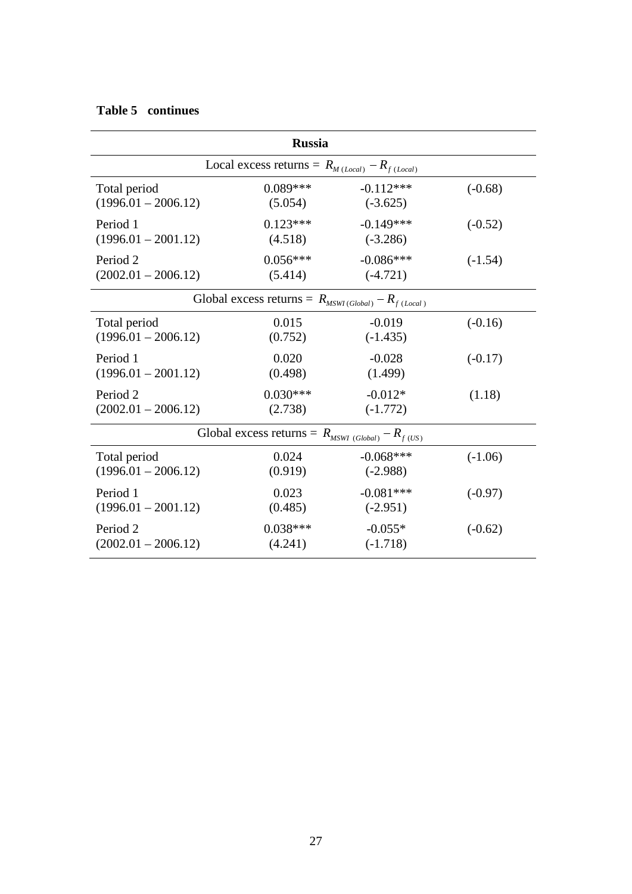|                       | <b>Russia</b>                                             |             |           |  |  |
|-----------------------|-----------------------------------------------------------|-------------|-----------|--|--|
|                       | Local excess returns = $R_{M (Local)} - R_{f (Local)}$    |             |           |  |  |
| Total period          | $0.089***$                                                | $-0.112***$ | $(-0.68)$ |  |  |
| $(1996.01 - 2006.12)$ | (5.054)                                                   | $(-3.625)$  |           |  |  |
| Period 1              | $0.123***$                                                | $-0.149***$ | $(-0.52)$ |  |  |
| $(1996.01 - 2001.12)$ | (4.518)                                                   | $(-3.286)$  |           |  |  |
| Period <sub>2</sub>   | $0.056***$                                                | $-0.086***$ | $(-1.54)$ |  |  |
| $(2002.01 - 2006.12)$ | (5.414)                                                   | $(-4.721)$  |           |  |  |
|                       | Global excess returns = $R_{MSWI(Global)} - R_{f(Local)}$ |             |           |  |  |
| Total period          | 0.015                                                     | $-0.019$    | $(-0.16)$ |  |  |
| $(1996.01 - 2006.12)$ | (0.752)                                                   | $(-1.435)$  |           |  |  |
| Period 1              | 0.020                                                     | $-0.028$    | $(-0.17)$ |  |  |
| $(1996.01 - 2001.12)$ | (0.498)                                                   | (1.499)     |           |  |  |
| Period <sub>2</sub>   | $0.030***$                                                | $-0.012*$   | (1.18)    |  |  |
| $(2002.01 - 2006.12)$ | (2.738)                                                   | $(-1.772)$  |           |  |  |
|                       | Global excess returns = $R_{MSWI(Global)} - R_{f(US)}$    |             |           |  |  |
| Total period          | 0.024                                                     | $-0.068***$ | $(-1.06)$ |  |  |
| $(1996.01 - 2006.12)$ | (0.919)                                                   | $(-2.988)$  |           |  |  |
| Period 1              | 0.023                                                     | $-0.081***$ | $(-0.97)$ |  |  |
| $(1996.01 - 2001.12)$ | (0.485)                                                   | $(-2.951)$  |           |  |  |
| Period <sub>2</sub>   | $0.038***$                                                | $-0.055*$   | $(-0.62)$ |  |  |
| $(2002.01 - 2006.12)$ | (4.241)                                                   | $(-1.718)$  |           |  |  |